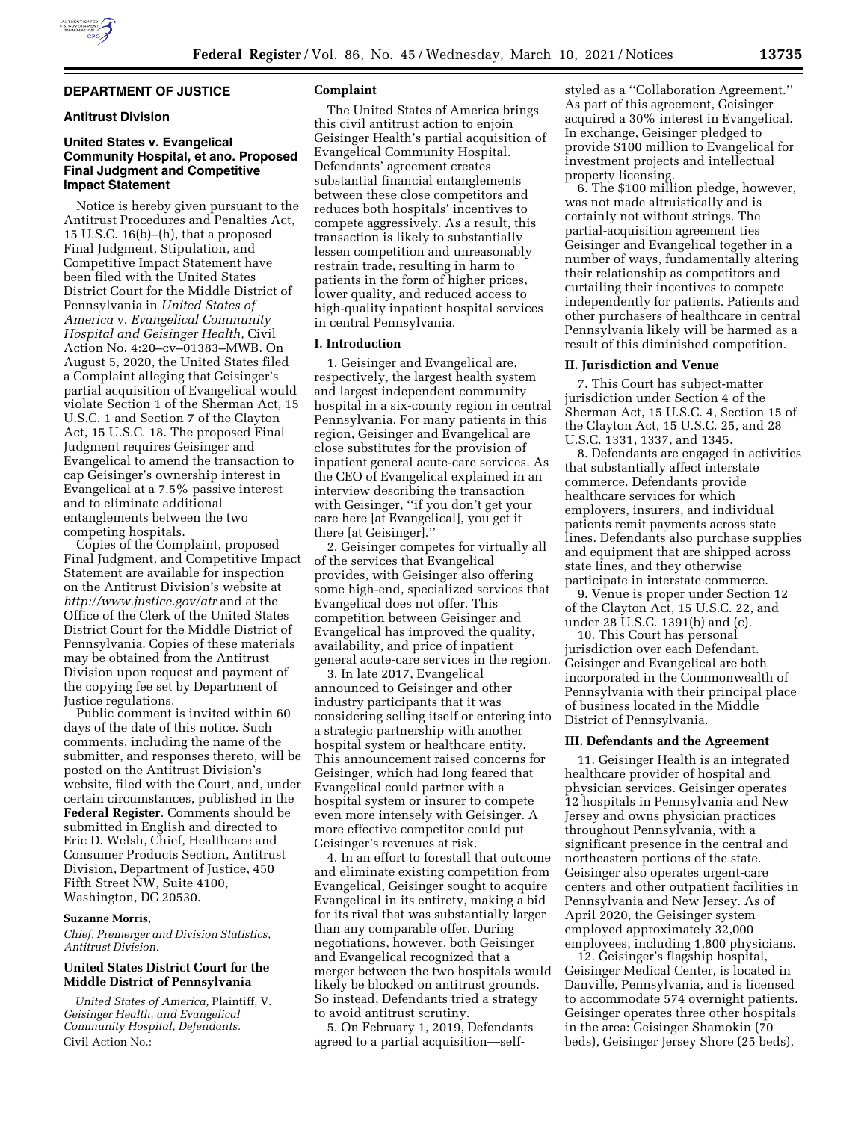## **DEPARTMENT OF JUSTICE**

# **Antitrust Division**

# **United States v. Evangelical Community Hospital, et ano. Proposed Final Judgment and Competitive Impact Statement**

Notice is hereby given pursuant to the Antitrust Procedures and Penalties Act, 15 U.S.C. 16(b)–(h), that a proposed Final Judgment, Stipulation, and Competitive Impact Statement have been filed with the United States District Court for the Middle District of Pennsylvania in *United States of America* v. *Evangelical Community Hospital and Geisinger Health,* Civil Action No. 4:20–cv–01383–MWB. On August 5, 2020, the United States filed a Complaint alleging that Geisinger's partial acquisition of Evangelical would violate Section 1 of the Sherman Act, 15 U.S.C. 1 and Section 7 of the Clayton Act, 15 U.S.C. 18. The proposed Final Judgment requires Geisinger and Evangelical to amend the transaction to cap Geisinger's ownership interest in Evangelical at a 7.5% passive interest and to eliminate additional entanglements between the two competing hospitals.

Copies of the Complaint, proposed Final Judgment, and Competitive Impact Statement are available for inspection on the Antitrust Division's website at *<http://www.justice.gov/atr>* and at the Office of the Clerk of the United States District Court for the Middle District of Pennsylvania. Copies of these materials may be obtained from the Antitrust Division upon request and payment of the copying fee set by Department of Justice regulations.

Public comment is invited within 60 days of the date of this notice. Such comments, including the name of the submitter, and responses thereto, will be posted on the Antitrust Division's website, filed with the Court, and, under certain circumstances, published in the **Federal Register**. Comments should be submitted in English and directed to Eric D. Welsh, Chief, Healthcare and Consumer Products Section, Antitrust Division, Department of Justice, 450 Fifth Street NW, Suite 4100, Washington, DC 20530.

#### **Suzanne Morris,**

*Chief, Premerger and Division Statistics, Antitrust Division.* 

# **United States District Court for the Middle District of Pennsylvania**

*United States of America,* Plaintiff, V. *Geisinger Health, and Evangelical Community Hospital, Defendants.*  Civil Action No.:

#### **Complaint**

The United States of America brings this civil antitrust action to enjoin Geisinger Health's partial acquisition of Evangelical Community Hospital. Defendants' agreement creates substantial financial entanglements between these close competitors and reduces both hospitals' incentives to compete aggressively. As a result, this transaction is likely to substantially lessen competition and unreasonably restrain trade, resulting in harm to patients in the form of higher prices, lower quality, and reduced access to high-quality inpatient hospital services in central Pennsylvania.

#### **I. Introduction**

1. Geisinger and Evangelical are, respectively, the largest health system and largest independent community hospital in a six-county region in central Pennsylvania. For many patients in this region, Geisinger and Evangelical are close substitutes for the provision of inpatient general acute-care services. As the CEO of Evangelical explained in an interview describing the transaction with Geisinger, ''if you don't get your care here [at Evangelical], you get it there [at Geisinger].''

2. Geisinger competes for virtually all of the services that Evangelical provides, with Geisinger also offering some high-end, specialized services that Evangelical does not offer. This competition between Geisinger and Evangelical has improved the quality, availability, and price of inpatient general acute-care services in the region.

3. In late 2017, Evangelical announced to Geisinger and other industry participants that it was considering selling itself or entering into a strategic partnership with another hospital system or healthcare entity. This announcement raised concerns for Geisinger, which had long feared that Evangelical could partner with a hospital system or insurer to compete even more intensely with Geisinger. A more effective competitor could put Geisinger's revenues at risk.

4. In an effort to forestall that outcome and eliminate existing competition from Evangelical, Geisinger sought to acquire Evangelical in its entirety, making a bid for its rival that was substantially larger than any comparable offer. During negotiations, however, both Geisinger and Evangelical recognized that a merger between the two hospitals would likely be blocked on antitrust grounds. So instead, Defendants tried a strategy to avoid antitrust scrutiny.

5. On February 1, 2019, Defendants agreed to a partial acquisition—selfstyled as a ''Collaboration Agreement.'' As part of this agreement, Geisinger acquired a 30% interest in Evangelical. In exchange, Geisinger pledged to provide \$100 million to Evangelical for investment projects and intellectual property licensing.

6. The \$100 million pledge, however, was not made altruistically and is certainly not without strings. The partial-acquisition agreement ties Geisinger and Evangelical together in a number of ways, fundamentally altering their relationship as competitors and curtailing their incentives to compete independently for patients. Patients and other purchasers of healthcare in central Pennsylvania likely will be harmed as a result of this diminished competition.

#### **II. Jurisdiction and Venue**

7. This Court has subject-matter jurisdiction under Section 4 of the Sherman Act, 15 U.S.C. 4, Section 15 of the Clayton Act, 15 U.S.C. 25, and 28 U.S.C. 1331, 1337, and 1345.

8. Defendants are engaged in activities that substantially affect interstate commerce. Defendants provide healthcare services for which employers, insurers, and individual patients remit payments across state lines. Defendants also purchase supplies and equipment that are shipped across state lines, and they otherwise participate in interstate commerce.

9. Venue is proper under Section 12 of the Clayton Act, 15 U.S.C. 22, and under 28 U.S.C. 1391(b) and (c).

10. This Court has personal jurisdiction over each Defendant. Geisinger and Evangelical are both incorporated in the Commonwealth of Pennsylvania with their principal place of business located in the Middle District of Pennsylvania.

#### **III. Defendants and the Agreement**

11. Geisinger Health is an integrated healthcare provider of hospital and physician services. Geisinger operates 12 hospitals in Pennsylvania and New Jersey and owns physician practices throughout Pennsylvania, with a significant presence in the central and northeastern portions of the state. Geisinger also operates urgent-care centers and other outpatient facilities in Pennsylvania and New Jersey. As of April 2020, the Geisinger system employed approximately 32,000 employees, including 1,800 physicians.

12. Geisinger's flagship hospital, Geisinger Medical Center, is located in Danville, Pennsylvania, and is licensed to accommodate 574 overnight patients. Geisinger operates three other hospitals in the area: Geisinger Shamokin (70 beds), Geisinger Jersey Shore (25 beds),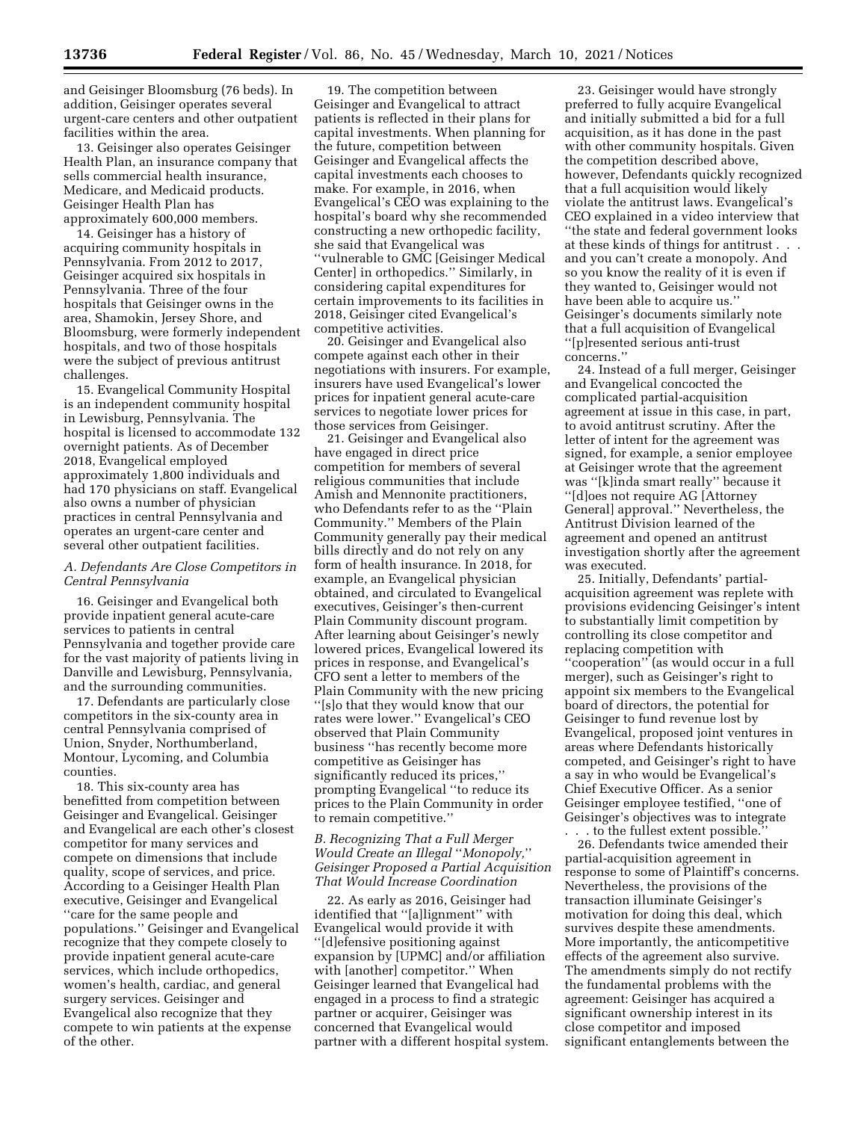and Geisinger Bloomsburg (76 beds). In addition, Geisinger operates several urgent-care centers and other outpatient facilities within the area.

13. Geisinger also operates Geisinger Health Plan, an insurance company that sells commercial health insurance, Medicare, and Medicaid products. Geisinger Health Plan has approximately 600,000 members.

14. Geisinger has a history of acquiring community hospitals in Pennsylvania. From 2012 to 2017, Geisinger acquired six hospitals in Pennsylvania. Three of the four hospitals that Geisinger owns in the area, Shamokin, Jersey Shore, and Bloomsburg, were formerly independent hospitals, and two of those hospitals were the subject of previous antitrust challenges.

15. Evangelical Community Hospital is an independent community hospital in Lewisburg, Pennsylvania. The hospital is licensed to accommodate 132 overnight patients. As of December 2018, Evangelical employed approximately 1,800 individuals and had 170 physicians on staff. Evangelical also owns a number of physician practices in central Pennsylvania and operates an urgent-care center and several other outpatient facilities.

## *A. Defendants Are Close Competitors in Central Pennsylvania*

16. Geisinger and Evangelical both provide inpatient general acute-care services to patients in central Pennsylvania and together provide care for the vast majority of patients living in Danville and Lewisburg, Pennsylvania, and the surrounding communities.

17. Defendants are particularly close competitors in the six-county area in central Pennsylvania comprised of Union, Snyder, Northumberland, Montour, Lycoming, and Columbia counties.

18. This six-county area has benefitted from competition between Geisinger and Evangelical. Geisinger and Evangelical are each other's closest competitor for many services and compete on dimensions that include quality, scope of services, and price. According to a Geisinger Health Plan executive, Geisinger and Evangelical ''care for the same people and populations.'' Geisinger and Evangelical recognize that they compete closely to provide inpatient general acute-care services, which include orthopedics, women's health, cardiac, and general surgery services. Geisinger and Evangelical also recognize that they compete to win patients at the expense of the other.

19. The competition between Geisinger and Evangelical to attract patients is reflected in their plans for capital investments. When planning for the future, competition between Geisinger and Evangelical affects the capital investments each chooses to make. For example, in 2016, when Evangelical's CEO was explaining to the hospital's board why she recommended constructing a new orthopedic facility, she said that Evangelical was ''vulnerable to GMC [Geisinger Medical Center] in orthopedics.'' Similarly, in considering capital expenditures for certain improvements to its facilities in 2018, Geisinger cited Evangelical's competitive activities.

20. Geisinger and Evangelical also compete against each other in their negotiations with insurers. For example, insurers have used Evangelical's lower prices for inpatient general acute-care services to negotiate lower prices for those services from Geisinger.

21. Geisinger and Evangelical also have engaged in direct price competition for members of several religious communities that include Amish and Mennonite practitioners, who Defendants refer to as the ''Plain Community.'' Members of the Plain Community generally pay their medical bills directly and do not rely on any form of health insurance. In 2018, for example, an Evangelical physician obtained, and circulated to Evangelical executives, Geisinger's then-current Plain Community discount program. After learning about Geisinger's newly lowered prices, Evangelical lowered its prices in response, and Evangelical's CFO sent a letter to members of the Plain Community with the new pricing ''[s]o that they would know that our rates were lower.'' Evangelical's CEO observed that Plain Community business ''has recently become more competitive as Geisinger has significantly reduced its prices,'' prompting Evangelical ''to reduce its prices to the Plain Community in order to remain competitive.''

# *B. Recognizing That a Full Merger Would Create an Illegal* ''*Monopoly,*'' *Geisinger Proposed a Partial Acquisition That Would Increase Coordination*

22. As early as 2016, Geisinger had identified that ''[a]lignment'' with Evangelical would provide it with ''[d]efensive positioning against expansion by [UPMC] and/or affiliation with [another] competitor.'' When Geisinger learned that Evangelical had engaged in a process to find a strategic partner or acquirer, Geisinger was concerned that Evangelical would partner with a different hospital system.

23. Geisinger would have strongly preferred to fully acquire Evangelical and initially submitted a bid for a full acquisition, as it has done in the past with other community hospitals. Given the competition described above, however, Defendants quickly recognized that a full acquisition would likely violate the antitrust laws. Evangelical's CEO explained in a video interview that ''the state and federal government looks at these kinds of things for antitrust . . . and you can't create a monopoly. And so you know the reality of it is even if they wanted to, Geisinger would not have been able to acquire us.'' Geisinger's documents similarly note that a full acquisition of Evangelical ''[p]resented serious anti-trust concerns.''

24. Instead of a full merger, Geisinger and Evangelical concocted the complicated partial-acquisition agreement at issue in this case, in part, to avoid antitrust scrutiny. After the letter of intent for the agreement was signed, for example, a senior employee at Geisinger wrote that the agreement was ''[k]inda smart really'' because it ''[d]oes not require AG [Attorney General] approval.'' Nevertheless, the Antitrust Division learned of the agreement and opened an antitrust investigation shortly after the agreement was executed.

25. Initially, Defendants' partialacquisition agreement was replete with provisions evidencing Geisinger's intent to substantially limit competition by controlling its close competitor and replacing competition with ''cooperation'' (as would occur in a full merger), such as Geisinger's right to appoint six members to the Evangelical board of directors, the potential for Geisinger to fund revenue lost by Evangelical, proposed joint ventures in areas where Defendants historically competed, and Geisinger's right to have a say in who would be Evangelical's Chief Executive Officer. As a senior Geisinger employee testified, ''one of Geisinger's objectives was to integrate

to the fullest extent possible.' 26. Defendants twice amended their partial-acquisition agreement in response to some of Plaintiff's concerns. Nevertheless, the provisions of the transaction illuminate Geisinger's motivation for doing this deal, which survives despite these amendments. More importantly, the anticompetitive effects of the agreement also survive. The amendments simply do not rectify the fundamental problems with the agreement: Geisinger has acquired a significant ownership interest in its close competitor and imposed significant entanglements between the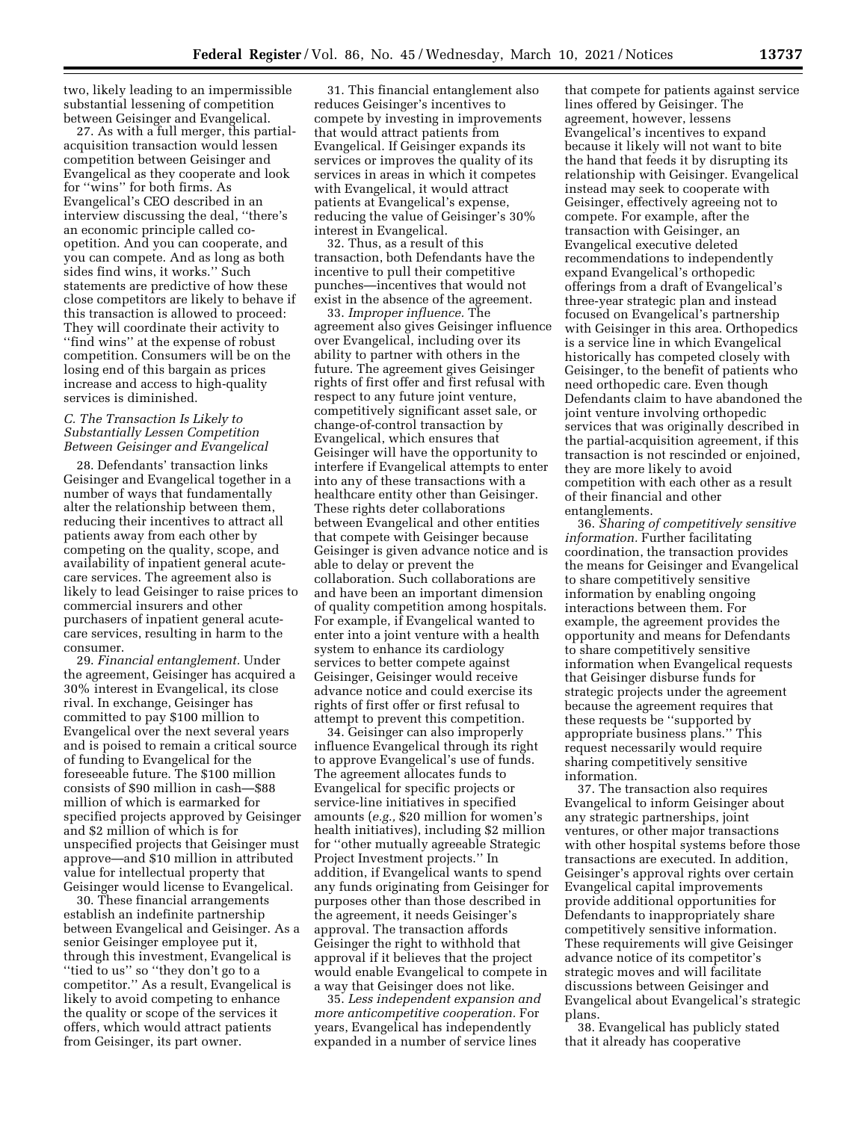two, likely leading to an impermissible substantial lessening of competition between Geisinger and Evangelical.

27. As with a full merger, this partialacquisition transaction would lessen competition between Geisinger and Evangelical as they cooperate and look for ''wins'' for both firms. As Evangelical's CEO described in an interview discussing the deal, ''there's an economic principle called coopetition. And you can cooperate, and you can compete. And as long as both sides find wins, it works.'' Such statements are predictive of how these close competitors are likely to behave if this transaction is allowed to proceed: They will coordinate their activity to ''find wins'' at the expense of robust competition. Consumers will be on the losing end of this bargain as prices increase and access to high-quality services is diminished.

## *C. The Transaction Is Likely to Substantially Lessen Competition Between Geisinger and Evangelical*

28. Defendants' transaction links Geisinger and Evangelical together in a number of ways that fundamentally alter the relationship between them, reducing their incentives to attract all patients away from each other by competing on the quality, scope, and availability of inpatient general acutecare services. The agreement also is likely to lead Geisinger to raise prices to commercial insurers and other purchasers of inpatient general acutecare services, resulting in harm to the consumer.

29. *Financial entanglement.* Under the agreement, Geisinger has acquired a 30% interest in Evangelical, its close rival. In exchange, Geisinger has committed to pay \$100 million to Evangelical over the next several years and is poised to remain a critical source of funding to Evangelical for the foreseeable future. The \$100 million consists of \$90 million in cash—\$88 million of which is earmarked for specified projects approved by Geisinger and \$2 million of which is for unspecified projects that Geisinger must approve—and \$10 million in attributed value for intellectual property that Geisinger would license to Evangelical.

30. These financial arrangements establish an indefinite partnership between Evangelical and Geisinger. As a senior Geisinger employee put it, through this investment, Evangelical is ''tied to us'' so ''they don't go to a competitor.'' As a result, Evangelical is likely to avoid competing to enhance the quality or scope of the services it offers, which would attract patients from Geisinger, its part owner.

31. This financial entanglement also reduces Geisinger's incentives to compete by investing in improvements that would attract patients from Evangelical. If Geisinger expands its services or improves the quality of its services in areas in which it competes with Evangelical, it would attract patients at Evangelical's expense, reducing the value of Geisinger's 30% interest in Evangelical.

32. Thus, as a result of this transaction, both Defendants have the incentive to pull their competitive punches—incentives that would not exist in the absence of the agreement.

33. *Improper influence.* The agreement also gives Geisinger influence over Evangelical, including over its ability to partner with others in the future. The agreement gives Geisinger rights of first offer and first refusal with respect to any future joint venture, competitively significant asset sale, or change-of-control transaction by Evangelical, which ensures that Geisinger will have the opportunity to interfere if Evangelical attempts to enter into any of these transactions with a healthcare entity other than Geisinger. These rights deter collaborations between Evangelical and other entities that compete with Geisinger because Geisinger is given advance notice and is able to delay or prevent the collaboration. Such collaborations are and have been an important dimension of quality competition among hospitals. For example, if Evangelical wanted to enter into a joint venture with a health system to enhance its cardiology services to better compete against Geisinger, Geisinger would receive advance notice and could exercise its rights of first offer or first refusal to attempt to prevent this competition.

34. Geisinger can also improperly influence Evangelical through its right to approve Evangelical's use of funds. The agreement allocates funds to Evangelical for specific projects or service-line initiatives in specified amounts (*e.g.,* \$20 million for women's health initiatives), including \$2 million for ''other mutually agreeable Strategic Project Investment projects.'' In addition, if Evangelical wants to spend any funds originating from Geisinger for purposes other than those described in the agreement, it needs Geisinger's approval. The transaction affords Geisinger the right to withhold that approval if it believes that the project would enable Evangelical to compete in a way that Geisinger does not like.

35. *Less independent expansion and more anticompetitive cooperation.* For years, Evangelical has independently expanded in a number of service lines

that compete for patients against service lines offered by Geisinger. The agreement, however, lessens Evangelical's incentives to expand because it likely will not want to bite the hand that feeds it by disrupting its relationship with Geisinger. Evangelical instead may seek to cooperate with Geisinger, effectively agreeing not to compete. For example, after the transaction with Geisinger, an Evangelical executive deleted recommendations to independently expand Evangelical's orthopedic offerings from a draft of Evangelical's three-year strategic plan and instead focused on Evangelical's partnership with Geisinger in this area. Orthopedics is a service line in which Evangelical historically has competed closely with Geisinger, to the benefit of patients who need orthopedic care. Even though Defendants claim to have abandoned the joint venture involving orthopedic services that was originally described in the partial-acquisition agreement, if this transaction is not rescinded or enjoined, they are more likely to avoid competition with each other as a result of their financial and other entanglements.

36. *Sharing of competitively sensitive information.* Further facilitating coordination, the transaction provides the means for Geisinger and Evangelical to share competitively sensitive information by enabling ongoing interactions between them. For example, the agreement provides the opportunity and means for Defendants to share competitively sensitive information when Evangelical requests that Geisinger disburse funds for strategic projects under the agreement because the agreement requires that these requests be ''supported by appropriate business plans.'' This request necessarily would require sharing competitively sensitive information.

37. The transaction also requires Evangelical to inform Geisinger about any strategic partnerships, joint ventures, or other major transactions with other hospital systems before those transactions are executed. In addition, Geisinger's approval rights over certain Evangelical capital improvements provide additional opportunities for Defendants to inappropriately share competitively sensitive information. These requirements will give Geisinger advance notice of its competitor's strategic moves and will facilitate discussions between Geisinger and Evangelical about Evangelical's strategic plans.

38. Evangelical has publicly stated that it already has cooperative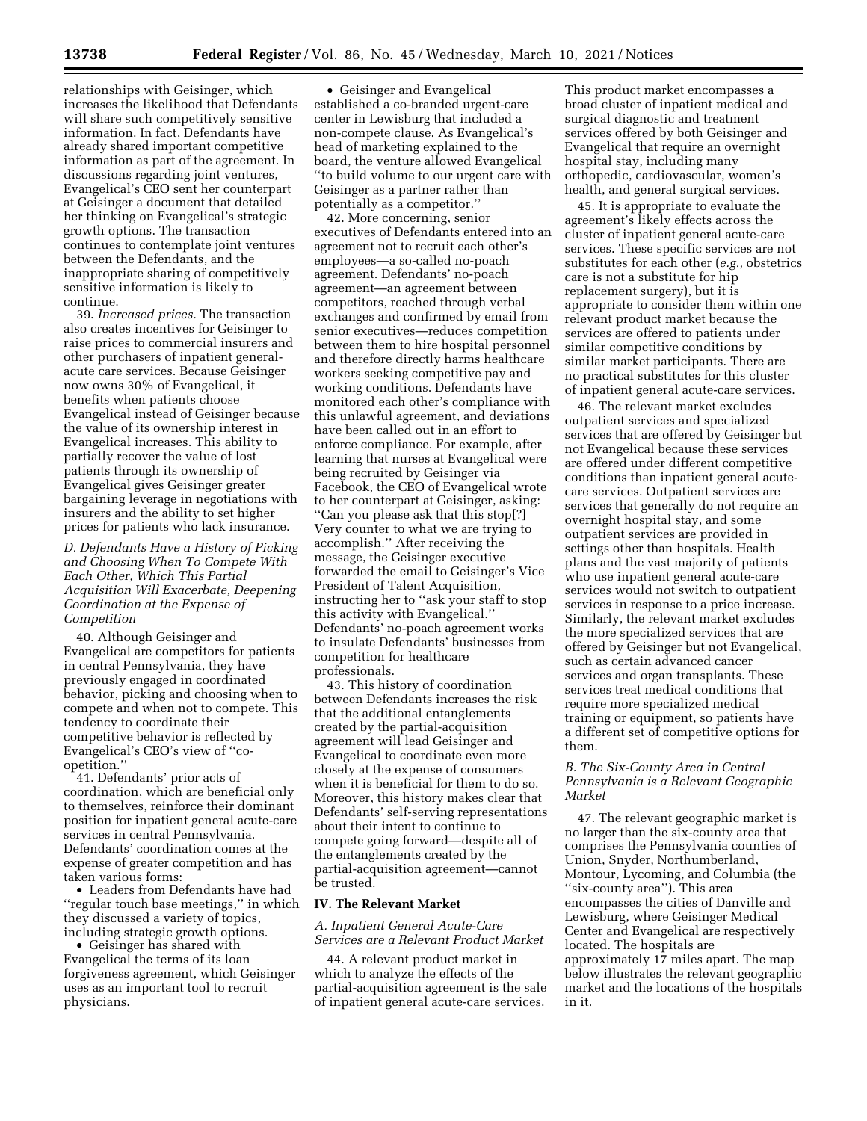relationships with Geisinger, which increases the likelihood that Defendants will share such competitively sensitive information. In fact, Defendants have already shared important competitive information as part of the agreement. In discussions regarding joint ventures, Evangelical's CEO sent her counterpart at Geisinger a document that detailed her thinking on Evangelical's strategic growth options. The transaction continues to contemplate joint ventures between the Defendants, and the inappropriate sharing of competitively sensitive information is likely to continue.

39. *Increased prices.* The transaction also creates incentives for Geisinger to raise prices to commercial insurers and other purchasers of inpatient generalacute care services. Because Geisinger now owns 30% of Evangelical, it benefits when patients choose Evangelical instead of Geisinger because the value of its ownership interest in Evangelical increases. This ability to partially recover the value of lost patients through its ownership of Evangelical gives Geisinger greater bargaining leverage in negotiations with insurers and the ability to set higher prices for patients who lack insurance.

*D. Defendants Have a History of Picking and Choosing When To Compete With Each Other, Which This Partial Acquisition Will Exacerbate, Deepening Coordination at the Expense of Competition* 

40. Although Geisinger and Evangelical are competitors for patients in central Pennsylvania, they have previously engaged in coordinated behavior, picking and choosing when to compete and when not to compete. This tendency to coordinate their competitive behavior is reflected by Evangelical's CEO's view of ''coopetition.''

41. Defendants' prior acts of coordination, which are beneficial only to themselves, reinforce their dominant position for inpatient general acute-care services in central Pennsylvania. Defendants' coordination comes at the expense of greater competition and has taken various forms:

• Leaders from Defendants have had ''regular touch base meetings,'' in which they discussed a variety of topics, including strategic growth options.

• Geisinger has shared with Evangelical the terms of its loan forgiveness agreement, which Geisinger uses as an important tool to recruit physicians.

• Geisinger and Evangelical established a co-branded urgent-care center in Lewisburg that included a non-compete clause. As Evangelical's head of marketing explained to the board, the venture allowed Evangelical ''to build volume to our urgent care with Geisinger as a partner rather than potentially as a competitor.''

42. More concerning, senior executives of Defendants entered into an agreement not to recruit each other's employees—a so-called no-poach agreement. Defendants' no-poach agreement—an agreement between competitors, reached through verbal exchanges and confirmed by email from senior executives—reduces competition between them to hire hospital personnel and therefore directly harms healthcare workers seeking competitive pay and working conditions. Defendants have monitored each other's compliance with this unlawful agreement, and deviations have been called out in an effort to enforce compliance. For example, after learning that nurses at Evangelical were being recruited by Geisinger via Facebook, the CEO of Evangelical wrote to her counterpart at Geisinger, asking: ''Can you please ask that this stop[?] Very counter to what we are trying to accomplish.'' After receiving the message, the Geisinger executive forwarded the email to Geisinger's Vice President of Talent Acquisition, instructing her to ''ask your staff to stop this activity with Evangelical.'' Defendants' no-poach agreement works to insulate Defendants' businesses from competition for healthcare professionals.

43. This history of coordination between Defendants increases the risk that the additional entanglements created by the partial-acquisition agreement will lead Geisinger and Evangelical to coordinate even more closely at the expense of consumers when it is beneficial for them to do so. Moreover, this history makes clear that Defendants' self-serving representations about their intent to continue to compete going forward—despite all of the entanglements created by the partial-acquisition agreement—cannot be trusted.

# **IV. The Relevant Market**

*A. Inpatient General Acute-Care Services are a Relevant Product Market* 

44. A relevant product market in which to analyze the effects of the partial-acquisition agreement is the sale of inpatient general acute-care services.

This product market encompasses a broad cluster of inpatient medical and surgical diagnostic and treatment services offered by both Geisinger and Evangelical that require an overnight hospital stay, including many orthopedic, cardiovascular, women's health, and general surgical services.

45. It is appropriate to evaluate the agreement's likely effects across the cluster of inpatient general acute-care services. These specific services are not substitutes for each other (*e.g.,* obstetrics care is not a substitute for hip replacement surgery), but it is appropriate to consider them within one relevant product market because the services are offered to patients under similar competitive conditions by similar market participants. There are no practical substitutes for this cluster of inpatient general acute-care services.

46. The relevant market excludes outpatient services and specialized services that are offered by Geisinger but not Evangelical because these services are offered under different competitive conditions than inpatient general acutecare services. Outpatient services are services that generally do not require an overnight hospital stay, and some outpatient services are provided in settings other than hospitals. Health plans and the vast majority of patients who use inpatient general acute-care services would not switch to outpatient services in response to a price increase. Similarly, the relevant market excludes the more specialized services that are offered by Geisinger but not Evangelical, such as certain advanced cancer services and organ transplants. These services treat medical conditions that require more specialized medical training or equipment, so patients have a different set of competitive options for them.

# *B. The Six-County Area in Central Pennsylvania is a Relevant Geographic Market*

47. The relevant geographic market is no larger than the six-county area that comprises the Pennsylvania counties of Union, Snyder, Northumberland, Montour, Lycoming, and Columbia (the ''six-county area''). This area encompasses the cities of Danville and Lewisburg, where Geisinger Medical Center and Evangelical are respectively located. The hospitals are approximately 17 miles apart. The map below illustrates the relevant geographic market and the locations of the hospitals in it.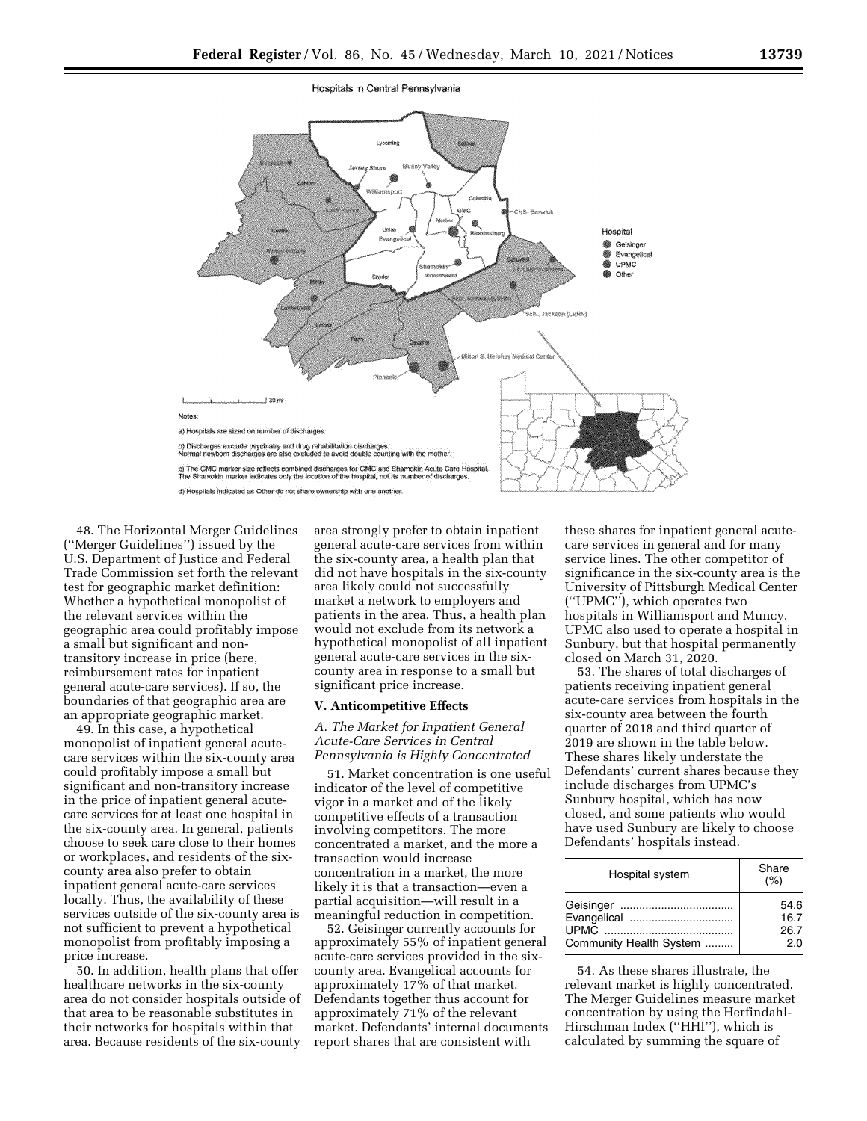Hospitals in Central Pennsylvania



48. The Horizontal Merger Guidelines (''Merger Guidelines'') issued by the U.S. Department of Justice and Federal Trade Commission set forth the relevant test for geographic market definition: Whether a hypothetical monopolist of the relevant services within the geographic area could profitably impose a small but significant and nontransitory increase in price (here, reimbursement rates for inpatient general acute-care services). If so, the boundaries of that geographic area are an appropriate geographic market.

49. In this case, a hypothetical monopolist of inpatient general acutecare services within the six-county area could profitably impose a small but significant and non-transitory increase in the price of inpatient general acutecare services for at least one hospital in the six-county area. In general, patients choose to seek care close to their homes or workplaces, and residents of the sixcounty area also prefer to obtain inpatient general acute-care services locally. Thus, the availability of these services outside of the six-county area is not sufficient to prevent a hypothetical monopolist from profitably imposing a price increase.

50. In addition, health plans that offer healthcare networks in the six-county area do not consider hospitals outside of that area to be reasonable substitutes in their networks for hospitals within that area. Because residents of the six-county area strongly prefer to obtain inpatient general acute-care services from within the six-county area, a health plan that did not have hospitals in the six-county area likely could not successfully market a network to employers and patients in the area. Thus, a health plan would not exclude from its network a hypothetical monopolist of all inpatient general acute-care services in the sixcounty area in response to a small but significant price increase.

#### **V. Anticompetitive Effects**

## *A. The Market for Inpatient General Acute-Care Services in Central Pennsylvania is Highly Concentrated*

51. Market concentration is one useful indicator of the level of competitive vigor in a market and of the likely competitive effects of a transaction involving competitors. The more concentrated a market, and the more a transaction would increase concentration in a market, the more likely it is that a transaction—even a partial acquisition—will result in a meaningful reduction in competition.

52. Geisinger currently accounts for approximately 55% of inpatient general acute-care services provided in the sixcounty area. Evangelical accounts for approximately 17% of that market. Defendants together thus account for approximately 71% of the relevant market. Defendants' internal documents report shares that are consistent with

these shares for inpatient general acutecare services in general and for many service lines. The other competitor of significance in the six-county area is the University of Pittsburgh Medical Center (''UPMC''), which operates two hospitals in Williamsport and Muncy. UPMC also used to operate a hospital in Sunbury, but that hospital permanently closed on March 31, 2020.

53. The shares of total discharges of patients receiving inpatient general acute-care services from hospitals in the six-county area between the fourth quarter of 2018 and third quarter of 2019 are shown in the table below. These shares likely understate the Defendants' current shares because they include discharges from UPMC's Sunbury hospital, which has now closed, and some patients who would have used Sunbury are likely to choose Defendants' hospitals instead.

| Hospital system         | Share<br>(%) |
|-------------------------|--------------|
|                         | 54.6         |
| Evangelical             | 16.7         |
|                         | 26.7         |
| Community Health System | 20           |

54. As these shares illustrate, the relevant market is highly concentrated. The Merger Guidelines measure market concentration by using the Herfindahl-Hirschman Index (''HHI''), which is calculated by summing the square of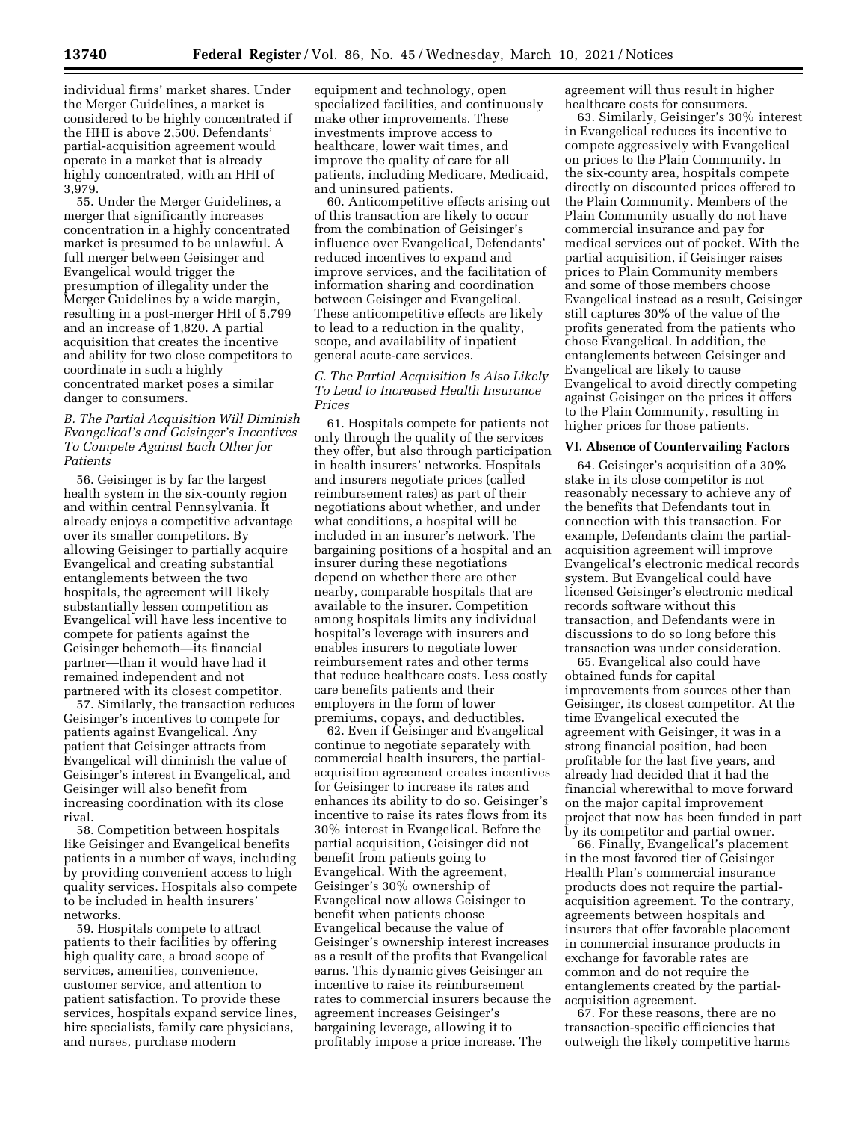individual firms' market shares. Under the Merger Guidelines, a market is considered to be highly concentrated if the HHI is above 2,500. Defendants' partial-acquisition agreement would operate in a market that is already highly concentrated, with an HHI of 3,979.

55. Under the Merger Guidelines, a merger that significantly increases concentration in a highly concentrated market is presumed to be unlawful. A full merger between Geisinger and Evangelical would trigger the presumption of illegality under the Merger Guidelines by a wide margin, resulting in a post-merger HHI of 5,799 and an increase of 1,820. A partial acquisition that creates the incentive and ability for two close competitors to coordinate in such a highly concentrated market poses a similar danger to consumers.

# *B. The Partial Acquisition Will Diminish Evangelical's and Geisinger's Incentives To Compete Against Each Other for Patients*

56. Geisinger is by far the largest health system in the six-county region and within central Pennsylvania. It already enjoys a competitive advantage over its smaller competitors. By allowing Geisinger to partially acquire Evangelical and creating substantial entanglements between the two hospitals, the agreement will likely substantially lessen competition as Evangelical will have less incentive to compete for patients against the Geisinger behemoth—its financial partner—than it would have had it remained independent and not partnered with its closest competitor.

57. Similarly, the transaction reduces Geisinger's incentives to compete for patients against Evangelical. Any patient that Geisinger attracts from Evangelical will diminish the value of Geisinger's interest in Evangelical, and Geisinger will also benefit from increasing coordination with its close rival.

58. Competition between hospitals like Geisinger and Evangelical benefits patients in a number of ways, including by providing convenient access to high quality services. Hospitals also compete to be included in health insurers' networks.

59. Hospitals compete to attract patients to their facilities by offering high quality care, a broad scope of services, amenities, convenience, customer service, and attention to patient satisfaction. To provide these services, hospitals expand service lines, hire specialists, family care physicians, and nurses, purchase modern

equipment and technology, open specialized facilities, and continuously make other improvements. These investments improve access to healthcare, lower wait times, and improve the quality of care for all patients, including Medicare, Medicaid, and uninsured patients.

60. Anticompetitive effects arising out of this transaction are likely to occur from the combination of Geisinger's influence over Evangelical, Defendants' reduced incentives to expand and improve services, and the facilitation of information sharing and coordination between Geisinger and Evangelical. These anticompetitive effects are likely to lead to a reduction in the quality, scope, and availability of inpatient general acute-care services.

# *C. The Partial Acquisition Is Also Likely To Lead to Increased Health Insurance Prices*

61. Hospitals compete for patients not only through the quality of the services they offer, but also through participation in health insurers' networks. Hospitals and insurers negotiate prices (called reimbursement rates) as part of their negotiations about whether, and under what conditions, a hospital will be included in an insurer's network. The bargaining positions of a hospital and an insurer during these negotiations depend on whether there are other nearby, comparable hospitals that are available to the insurer. Competition among hospitals limits any individual hospital's leverage with insurers and enables insurers to negotiate lower reimbursement rates and other terms that reduce healthcare costs. Less costly care benefits patients and their employers in the form of lower premiums, copays, and deductibles.

62. Even if Geisinger and Evangelical continue to negotiate separately with commercial health insurers, the partialacquisition agreement creates incentives for Geisinger to increase its rates and enhances its ability to do so. Geisinger's incentive to raise its rates flows from its 30% interest in Evangelical. Before the partial acquisition, Geisinger did not benefit from patients going to Evangelical. With the agreement, Geisinger's 30% ownership of Evangelical now allows Geisinger to benefit when patients choose Evangelical because the value of Geisinger's ownership interest increases as a result of the profits that Evangelical earns. This dynamic gives Geisinger an incentive to raise its reimbursement rates to commercial insurers because the agreement increases Geisinger's bargaining leverage, allowing it to profitably impose a price increase. The

agreement will thus result in higher healthcare costs for consumers.

63. Similarly, Geisinger's 30% interest in Evangelical reduces its incentive to compete aggressively with Evangelical on prices to the Plain Community. In the six-county area, hospitals compete directly on discounted prices offered to the Plain Community. Members of the Plain Community usually do not have commercial insurance and pay for medical services out of pocket. With the partial acquisition, if Geisinger raises prices to Plain Community members and some of those members choose Evangelical instead as a result, Geisinger still captures 30% of the value of the profits generated from the patients who chose Evangelical. In addition, the entanglements between Geisinger and Evangelical are likely to cause Evangelical to avoid directly competing against Geisinger on the prices it offers to the Plain Community, resulting in higher prices for those patients.

#### **VI. Absence of Countervailing Factors**

64. Geisinger's acquisition of a 30% stake in its close competitor is not reasonably necessary to achieve any of the benefits that Defendants tout in connection with this transaction. For example, Defendants claim the partialacquisition agreement will improve Evangelical's electronic medical records system. But Evangelical could have licensed Geisinger's electronic medical records software without this transaction, and Defendants were in discussions to do so long before this transaction was under consideration.

65. Evangelical also could have obtained funds for capital improvements from sources other than Geisinger, its closest competitor. At the time Evangelical executed the agreement with Geisinger, it was in a strong financial position, had been profitable for the last five years, and already had decided that it had the financial wherewithal to move forward on the major capital improvement project that now has been funded in part by its competitor and partial owner.

66. Finally, Evangelical's placement in the most favored tier of Geisinger Health Plan's commercial insurance products does not require the partialacquisition agreement. To the contrary, agreements between hospitals and insurers that offer favorable placement in commercial insurance products in exchange for favorable rates are common and do not require the entanglements created by the partialacquisition agreement.

67. For these reasons, there are no transaction-specific efficiencies that outweigh the likely competitive harms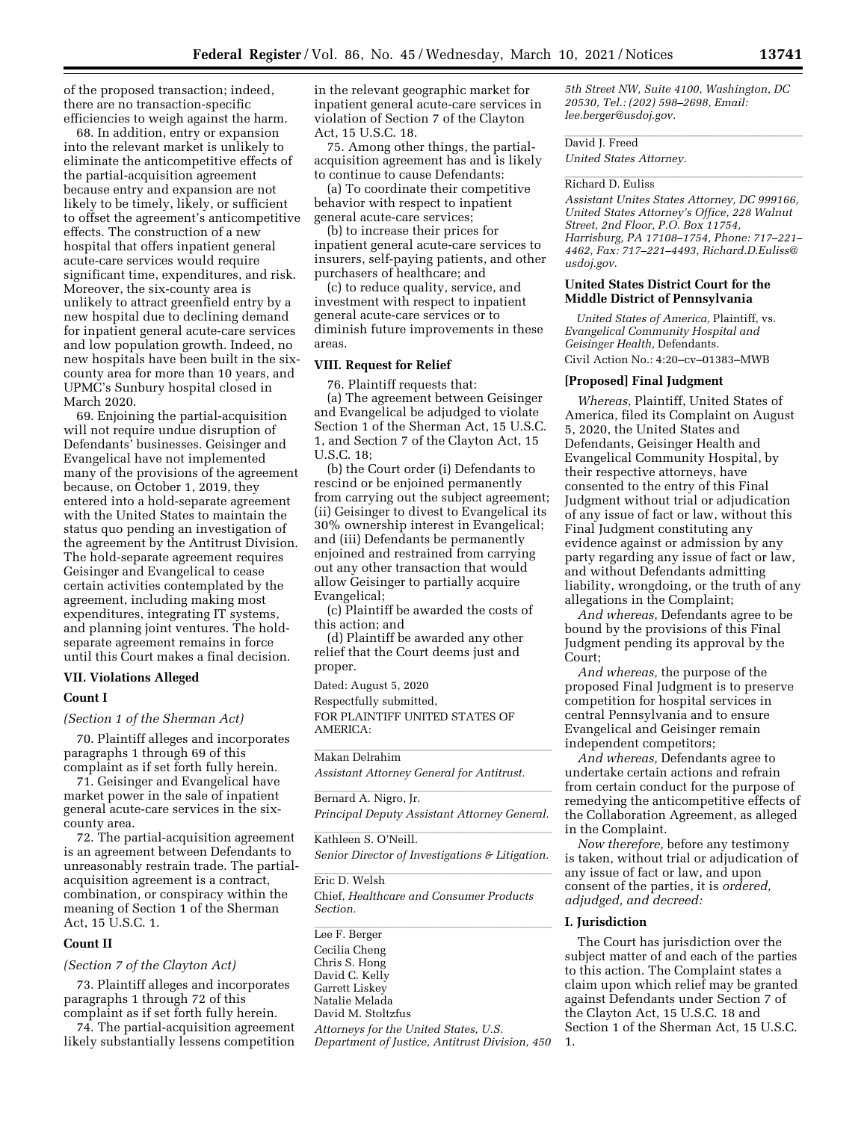of the proposed transaction; indeed, there are no transaction-specific efficiencies to weigh against the harm.

68. In addition, entry or expansion into the relevant market is unlikely to eliminate the anticompetitive effects of the partial-acquisition agreement because entry and expansion are not likely to be timely, likely, or sufficient to offset the agreement's anticompetitive effects. The construction of a new hospital that offers inpatient general acute-care services would require significant time, expenditures, and risk. Moreover, the six-county area is unlikely to attract greenfield entry by a new hospital due to declining demand for inpatient general acute-care services and low population growth. Indeed, no new hospitals have been built in the sixcounty area for more than 10 years, and UPMC's Sunbury hospital closed in March 2020.

69. Enjoining the partial-acquisition will not require undue disruption of Defendants' businesses. Geisinger and Evangelical have not implemented many of the provisions of the agreement because, on October 1, 2019, they entered into a hold-separate agreement with the United States to maintain the status quo pending an investigation of the agreement by the Antitrust Division. The hold-separate agreement requires Geisinger and Evangelical to cease certain activities contemplated by the agreement, including making most expenditures, integrating IT systems, and planning joint ventures. The holdseparate agreement remains in force until this Court makes a final decision.

#### **VII. Violations Alleged**

#### **Count I**

*(Section 1 of the Sherman Act)* 

70. Plaintiff alleges and incorporates paragraphs 1 through 69 of this complaint as if set forth fully herein.

71. Geisinger and Evangelical have market power in the sale of inpatient general acute-care services in the sixcounty area.

72. The partial-acquisition agreement is an agreement between Defendants to unreasonably restrain trade. The partialacquisition agreement is a contract, combination, or conspiracy within the meaning of Section 1 of the Sherman Act, 15 U.S.C. 1.

#### **Count II**

*(Section 7 of the Clayton Act)* 

73. Plaintiff alleges and incorporates paragraphs 1 through 72 of this complaint as if set forth fully herein.

74. The partial-acquisition agreement likely substantially lessens competition in the relevant geographic market for inpatient general acute-care services in violation of Section 7 of the Clayton Act, 15 U.S.C. 18.

75. Among other things, the partialacquisition agreement has and is likely to continue to cause Defendants:

(a) To coordinate their competitive behavior with respect to inpatient general acute-care services;

(b) to increase their prices for inpatient general acute-care services to insurers, self-paying patients, and other purchasers of healthcare; and

(c) to reduce quality, service, and investment with respect to inpatient general acute-care services or to diminish future improvements in these areas.

#### **VIII. Request for Relief**

76. Plaintiff requests that:

(a) The agreement between Geisinger and Evangelical be adjudged to violate Section 1 of the Sherman Act, 15 U.S.C. 1, and Section 7 of the Clayton Act, 15 U.S.C. 18;

(b) the Court order (i) Defendants to rescind or be enjoined permanently from carrying out the subject agreement; (ii) Geisinger to divest to Evangelical its 30% ownership interest in Evangelical; and (iii) Defendants be permanently enjoined and restrained from carrying out any other transaction that would allow Geisinger to partially acquire Evangelical;

(c) Plaintiff be awarded the costs of this action; and

(d) Plaintiff be awarded any other relief that the Court deems just and proper.

Dated: August 5, 2020

Respectfully submitted,

FOR PLAINTIFF UNITED STATES OF AMERICA:

Makan Delrahim

*Assistant Attorney General for Antitrust.* 

Bernard A. Nigro, Jr. *Principal Deputy Assistant Attorney General.* 

Kathleen S. O'Neill. *Senior Director of Investigations & Litigation.* 

Eric D. Welsh Chief, *Healthcare and Consumer Products Section.* 

Lee F. Berger Cecilia Cheng Chris S. Hong David C. Kelly Garrett Liskey Natalie Melada David M. Stoltzfus *Attorneys for the United States, U.S. Department of Justice, Antitrust Division, 450*  *5th Street NW, Suite 4100, Washington, DC 20530, Tel.: (202) 598–2698, Email: [lee.berger@usdoj.gov.](mailto:lee.berger@usdoj.gov)* 

David J. Freed **David Learner** 

*United States Attorney.* 

# Richard D. Euliss

*Assistant Unites States Attorney, DC 999166, United States Attorney's Office, 228 Walnut Street, 2nd Floor, P.O. Box 11754, Harrisburg, PA 17108–1754, Phone: 717–221– 4462, Fax: 717–221–4493, [Richard.D.Euliss@](mailto:Richard.D.Euliss@usdoj.gov) [usdoj.gov.](mailto:Richard.D.Euliss@usdoj.gov)* 

#### **United States District Court for the Middle District of Pennsylvania**

*United States of America,* Plaintiff, vs. *Evangelical Community Hospital and Geisinger Health,* Defendants. Civil Action No.: 4:20–cv–01383–MWB

#### **[Proposed] Final Judgment**

*Whereas,* Plaintiff, United States of America, filed its Complaint on August 5, 2020, the United States and Defendants, Geisinger Health and Evangelical Community Hospital, by their respective attorneys, have consented to the entry of this Final Judgment without trial or adjudication of any issue of fact or law, without this Final Judgment constituting any evidence against or admission by any party regarding any issue of fact or law, and without Defendants admitting liability, wrongdoing, or the truth of any allegations in the Complaint;

*And whereas,* Defendants agree to be bound by the provisions of this Final Judgment pending its approval by the Court;

*And whereas,* the purpose of the proposed Final Judgment is to preserve competition for hospital services in central Pennsylvania and to ensure Evangelical and Geisinger remain independent competitors;

*And whereas,* Defendants agree to undertake certain actions and refrain from certain conduct for the purpose of remedying the anticompetitive effects of the Collaboration Agreement, as alleged in the Complaint.

*Now therefore,* before any testimony is taken, without trial or adjudication of any issue of fact or law, and upon consent of the parties, it is *ordered, adjudged, and decreed:* 

#### **I. Jurisdiction**

The Court has jurisdiction over the subject matter of and each of the parties to this action. The Complaint states a claim upon which relief may be granted against Defendants under Section 7 of the Clayton Act, 15 U.S.C. 18 and Section 1 of the Sherman Act, 15 U.S.C. 1.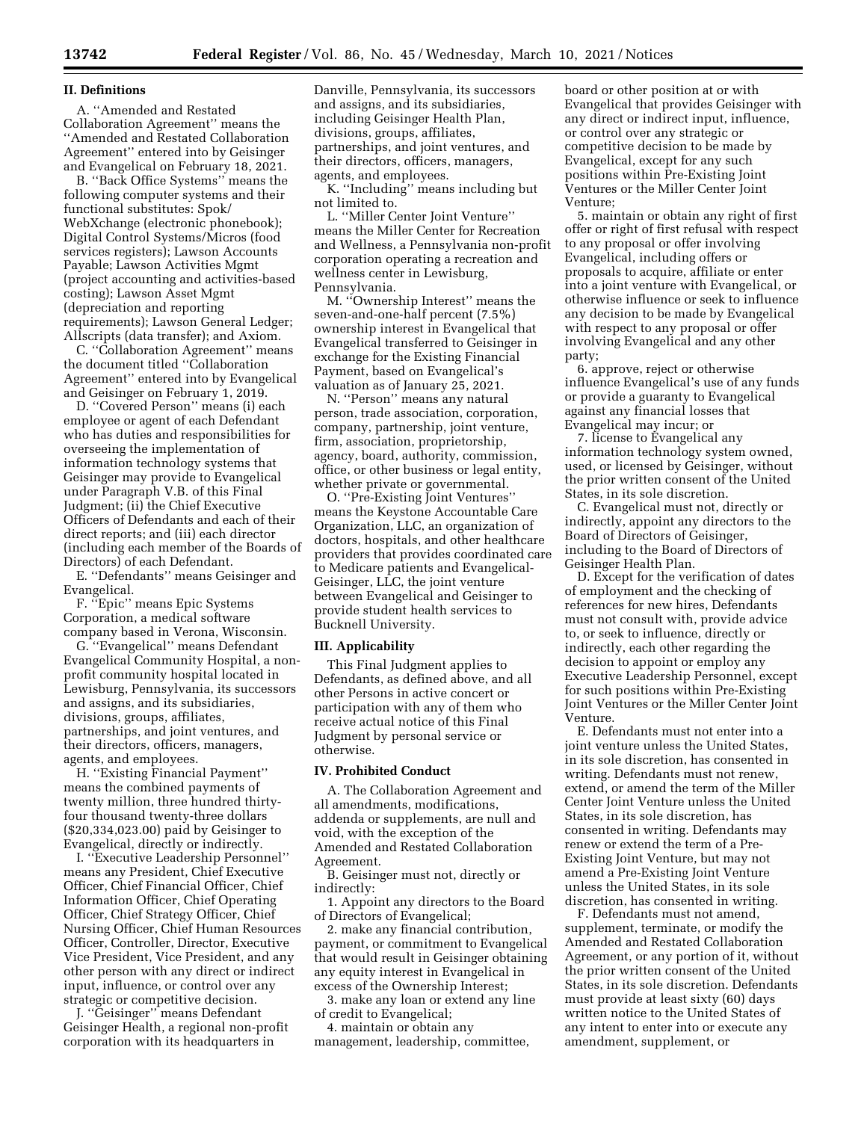#### **II. Definitions**

A. ''Amended and Restated Collaboration Agreement'' means the ''Amended and Restated Collaboration Agreement'' entered into by Geisinger and Evangelical on February 18, 2021.

B. ''Back Office Systems'' means the following computer systems and their functional substitutes: Spok/ WebXchange (electronic phonebook); Digital Control Systems/Micros (food services registers); Lawson Accounts Payable; Lawson Activities Mgmt (project accounting and activities-based costing); Lawson Asset Mgmt (depreciation and reporting requirements); Lawson General Ledger; Allscripts (data transfer); and Axiom.

C. ''Collaboration Agreement'' means the document titled ''Collaboration Agreement'' entered into by Evangelical and Geisinger on February 1, 2019.

D. ''Covered Person'' means (i) each employee or agent of each Defendant who has duties and responsibilities for overseeing the implementation of information technology systems that Geisinger may provide to Evangelical under Paragraph V.B. of this Final Judgment; (ii) the Chief Executive Officers of Defendants and each of their direct reports; and (iii) each director (including each member of the Boards of Directors) of each Defendant.

E. ''Defendants'' means Geisinger and Evangelical.

F. ''Epic'' means Epic Systems Corporation, a medical software company based in Verona, Wisconsin.

G. ''Evangelical'' means Defendant Evangelical Community Hospital, a nonprofit community hospital located in Lewisburg, Pennsylvania, its successors and assigns, and its subsidiaries, divisions, groups, affiliates, partnerships, and joint ventures, and their directors, officers, managers, agents, and employees.

H. ''Existing Financial Payment'' means the combined payments of twenty million, three hundred thirtyfour thousand twenty-three dollars (\$20,334,023.00) paid by Geisinger to Evangelical, directly or indirectly.

I. ''Executive Leadership Personnel'' means any President, Chief Executive Officer, Chief Financial Officer, Chief Information Officer, Chief Operating Officer, Chief Strategy Officer, Chief Nursing Officer, Chief Human Resources Officer, Controller, Director, Executive Vice President, Vice President, and any other person with any direct or indirect input, influence, or control over any strategic or competitive decision.

J. ''Geisinger'' means Defendant Geisinger Health, a regional non-profit corporation with its headquarters in

Danville, Pennsylvania, its successors and assigns, and its subsidiaries, including Geisinger Health Plan, divisions, groups, affiliates, partnerships, and joint ventures, and their directors, officers, managers, agents, and employees.

K. ''Including'' means including but not limited to.

L. ''Miller Center Joint Venture'' means the Miller Center for Recreation and Wellness, a Pennsylvania non-profit corporation operating a recreation and wellness center in Lewisburg, Pennsylvania.

M. ''Ownership Interest'' means the seven-and-one-half percent (7.5%) ownership interest in Evangelical that Evangelical transferred to Geisinger in exchange for the Existing Financial Payment, based on Evangelical's valuation as of January 25, 2021.

N. ''Person'' means any natural person, trade association, corporation, company, partnership, joint venture, firm, association, proprietorship, agency, board, authority, commission, office, or other business or legal entity, whether private or governmental.

O. ''Pre-Existing Joint Ventures'' means the Keystone Accountable Care Organization, LLC, an organization of doctors, hospitals, and other healthcare providers that provides coordinated care to Medicare patients and Evangelical-Geisinger, LLC, the joint venture between Evangelical and Geisinger to provide student health services to Bucknell University.

#### **III. Applicability**

This Final Judgment applies to Defendants, as defined above, and all other Persons in active concert or participation with any of them who receive actual notice of this Final Judgment by personal service or otherwise.

## **IV. Prohibited Conduct**

A. The Collaboration Agreement and all amendments, modifications, addenda or supplements, are null and void, with the exception of the Amended and Restated Collaboration Agreement.

B. Geisinger must not, directly or indirectly:

1. Appoint any directors to the Board of Directors of Evangelical;

2. make any financial contribution, payment, or commitment to Evangelical that would result in Geisinger obtaining any equity interest in Evangelical in excess of the Ownership Interest;

3. make any loan or extend any line of credit to Evangelical;

4. maintain or obtain any management, leadership, committee, board or other position at or with Evangelical that provides Geisinger with any direct or indirect input, influence, or control over any strategic or competitive decision to be made by Evangelical, except for any such positions within Pre-Existing Joint Ventures or the Miller Center Joint Venture;

5. maintain or obtain any right of first offer or right of first refusal with respect to any proposal or offer involving Evangelical, including offers or proposals to acquire, affiliate or enter into a joint venture with Evangelical, or otherwise influence or seek to influence any decision to be made by Evangelical with respect to any proposal or offer involving Evangelical and any other party;

6. approve, reject or otherwise influence Evangelical's use of any funds or provide a guaranty to Evangelical against any financial losses that Evangelical may incur; or

7. license to Evangelical any information technology system owned, used, or licensed by Geisinger, without the prior written consent of the United States, in its sole discretion.

C. Evangelical must not, directly or indirectly, appoint any directors to the Board of Directors of Geisinger, including to the Board of Directors of Geisinger Health Plan.

D. Except for the verification of dates of employment and the checking of references for new hires, Defendants must not consult with, provide advice to, or seek to influence, directly or indirectly, each other regarding the decision to appoint or employ any Executive Leadership Personnel, except for such positions within Pre-Existing Joint Ventures or the Miller Center Joint Venture.

E. Defendants must not enter into a joint venture unless the United States, in its sole discretion, has consented in writing. Defendants must not renew, extend, or amend the term of the Miller Center Joint Venture unless the United States, in its sole discretion, has consented in writing. Defendants may renew or extend the term of a Pre-Existing Joint Venture, but may not amend a Pre-Existing Joint Venture unless the United States, in its sole discretion, has consented in writing.

F. Defendants must not amend, supplement, terminate, or modify the Amended and Restated Collaboration Agreement, or any portion of it, without the prior written consent of the United States, in its sole discretion. Defendants must provide at least sixty (60) days written notice to the United States of any intent to enter into or execute any amendment, supplement, or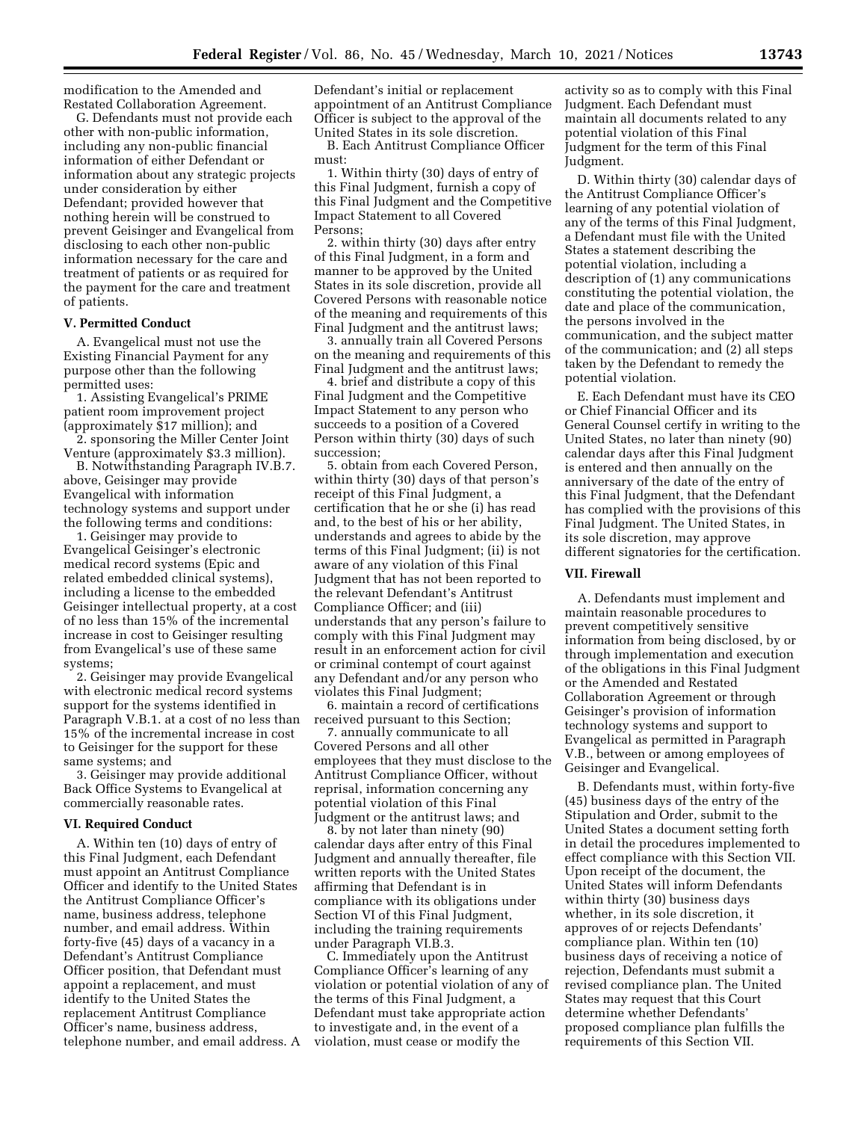modification to the Amended and Restated Collaboration Agreement.

G. Defendants must not provide each other with non-public information, including any non-public financial information of either Defendant or information about any strategic projects under consideration by either Defendant; provided however that nothing herein will be construed to prevent Geisinger and Evangelical from disclosing to each other non-public information necessary for the care and treatment of patients or as required for the payment for the care and treatment of patients.

## **V. Permitted Conduct**

A. Evangelical must not use the Existing Financial Payment for any purpose other than the following permitted uses:

1. Assisting Evangelical's PRIME patient room improvement project (approximately \$17 million); and

2. sponsoring the Miller Center Joint Venture (approximately \$3.3 million).

B. Notwithstanding Paragraph IV.B.7. above, Geisinger may provide Evangelical with information technology systems and support under the following terms and conditions:

1. Geisinger may provide to Evangelical Geisinger's electronic medical record systems (Epic and related embedded clinical systems), including a license to the embedded Geisinger intellectual property, at a cost of no less than 15% of the incremental increase in cost to Geisinger resulting from Evangelical's use of these same systems;

2. Geisinger may provide Evangelical with electronic medical record systems support for the systems identified in Paragraph V.B.1. at a cost of no less than 15% of the incremental increase in cost to Geisinger for the support for these same systems; and

3. Geisinger may provide additional Back Office Systems to Evangelical at commercially reasonable rates.

#### **VI. Required Conduct**

A. Within ten (10) days of entry of this Final Judgment, each Defendant must appoint an Antitrust Compliance Officer and identify to the United States the Antitrust Compliance Officer's name, business address, telephone number, and email address. Within forty-five (45) days of a vacancy in a Defendant's Antitrust Compliance Officer position, that Defendant must appoint a replacement, and must identify to the United States the replacement Antitrust Compliance Officer's name, business address, telephone number, and email address. A Defendant's initial or replacement appointment of an Antitrust Compliance Officer is subject to the approval of the United States in its sole discretion.

B. Each Antitrust Compliance Officer must:

1. Within thirty (30) days of entry of this Final Judgment, furnish a copy of this Final Judgment and the Competitive Impact Statement to all Covered Persons;

2. within thirty (30) days after entry of this Final Judgment, in a form and manner to be approved by the United States in its sole discretion, provide all Covered Persons with reasonable notice of the meaning and requirements of this Final Judgment and the antitrust laws;

3. annually train all Covered Persons on the meaning and requirements of this Final Judgment and the antitrust laws;

4. brief and distribute a copy of this Final Judgment and the Competitive Impact Statement to any person who succeeds to a position of a Covered Person within thirty (30) days of such succession;

5. obtain from each Covered Person, within thirty (30) days of that person's receipt of this Final Judgment, a certification that he or she (i) has read and, to the best of his or her ability, understands and agrees to abide by the terms of this Final Judgment; (ii) is not aware of any violation of this Final Judgment that has not been reported to the relevant Defendant's Antitrust Compliance Officer; and (iii) understands that any person's failure to comply with this Final Judgment may result in an enforcement action for civil or criminal contempt of court against any Defendant and/or any person who violates this Final Judgment;

6. maintain a record of certifications received pursuant to this Section;

7. annually communicate to all Covered Persons and all other employees that they must disclose to the Antitrust Compliance Officer, without reprisal, information concerning any potential violation of this Final Judgment or the antitrust laws; and

8. by not later than ninety (90) calendar days after entry of this Final Judgment and annually thereafter, file written reports with the United States affirming that Defendant is in compliance with its obligations under Section VI of this Final Judgment, including the training requirements under Paragraph VI.B.3.

C. Immediately upon the Antitrust Compliance Officer's learning of any violation or potential violation of any of the terms of this Final Judgment, a Defendant must take appropriate action to investigate and, in the event of a violation, must cease or modify the

activity so as to comply with this Final Judgment. Each Defendant must maintain all documents related to any potential violation of this Final Judgment for the term of this Final Judgment.

D. Within thirty (30) calendar days of the Antitrust Compliance Officer's learning of any potential violation of any of the terms of this Final Judgment, a Defendant must file with the United States a statement describing the potential violation, including a description of (1) any communications constituting the potential violation, the date and place of the communication, the persons involved in the communication, and the subject matter of the communication; and (2) all steps taken by the Defendant to remedy the potential violation.

E. Each Defendant must have its CEO or Chief Financial Officer and its General Counsel certify in writing to the United States, no later than ninety (90) calendar days after this Final Judgment is entered and then annually on the anniversary of the date of the entry of this Final Judgment, that the Defendant has complied with the provisions of this Final Judgment. The United States, in its sole discretion, may approve different signatories for the certification.

#### **VII. Firewall**

A. Defendants must implement and maintain reasonable procedures to prevent competitively sensitive information from being disclosed, by or through implementation and execution of the obligations in this Final Judgment or the Amended and Restated Collaboration Agreement or through Geisinger's provision of information technology systems and support to Evangelical as permitted in Paragraph V.B., between or among employees of Geisinger and Evangelical.

B. Defendants must, within forty-five (45) business days of the entry of the Stipulation and Order, submit to the United States a document setting forth in detail the procedures implemented to effect compliance with this Section VII. Upon receipt of the document, the United States will inform Defendants within thirty (30) business days whether, in its sole discretion, it approves of or rejects Defendants' compliance plan. Within ten (10) business days of receiving a notice of rejection, Defendants must submit a revised compliance plan. The United States may request that this Court determine whether Defendants' proposed compliance plan fulfills the requirements of this Section VII.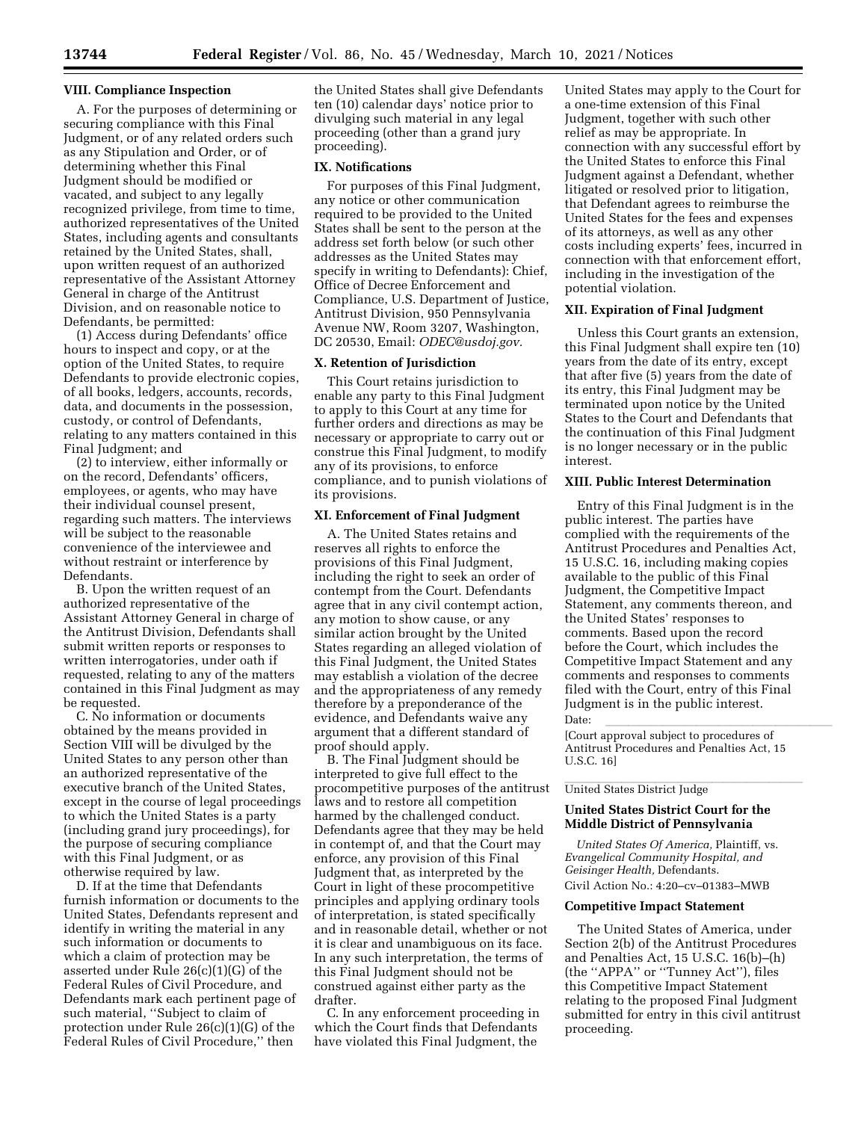#### **VIII. Compliance Inspection**

A. For the purposes of determining or securing compliance with this Final Judgment, or of any related orders such as any Stipulation and Order, or of determining whether this Final Judgment should be modified or vacated, and subject to any legally recognized privilege, from time to time, authorized representatives of the United States, including agents and consultants retained by the United States, shall, upon written request of an authorized representative of the Assistant Attorney General in charge of the Antitrust Division, and on reasonable notice to Defendants, be permitted:

(1) Access during Defendants' office hours to inspect and copy, or at the option of the United States, to require Defendants to provide electronic copies, of all books, ledgers, accounts, records, data, and documents in the possession, custody, or control of Defendants, relating to any matters contained in this Final Judgment; and

(2) to interview, either informally or on the record, Defendants' officers, employees, or agents, who may have their individual counsel present, regarding such matters. The interviews will be subject to the reasonable convenience of the interviewee and without restraint or interference by Defendants.

B. Upon the written request of an authorized representative of the Assistant Attorney General in charge of the Antitrust Division, Defendants shall submit written reports or responses to written interrogatories, under oath if requested, relating to any of the matters contained in this Final Judgment as may be requested.

C. No information or documents obtained by the means provided in Section VIII will be divulged by the United States to any person other than an authorized representative of the executive branch of the United States, except in the course of legal proceedings to which the United States is a party (including grand jury proceedings), for the purpose of securing compliance with this Final Judgment, or as otherwise required by law.

D. If at the time that Defendants furnish information or documents to the United States, Defendants represent and identify in writing the material in any such information or documents to which a claim of protection may be asserted under Rule 26(c)(1)(G) of the Federal Rules of Civil Procedure, and Defendants mark each pertinent page of such material, ''Subject to claim of protection under Rule 26(c)(1)(G) of the Federal Rules of Civil Procedure,'' then

the United States shall give Defendants ten (10) calendar days' notice prior to divulging such material in any legal proceeding (other than a grand jury proceeding).

#### **IX. Notifications**

For purposes of this Final Judgment, any notice or other communication required to be provided to the United States shall be sent to the person at the address set forth below (or such other addresses as the United States may specify in writing to Defendants): Chief, Office of Decree Enforcement and Compliance, U.S. Department of Justice, Antitrust Division, 950 Pennsylvania Avenue NW, Room 3207, Washington, DC 20530, Email: *[ODEC@usdoj.gov.](mailto:ODEC@usdoj.gov)* 

## **X. Retention of Jurisdiction**

This Court retains jurisdiction to enable any party to this Final Judgment to apply to this Court at any time for further orders and directions as may be necessary or appropriate to carry out or construe this Final Judgment, to modify any of its provisions, to enforce compliance, and to punish violations of its provisions.

## **XI. Enforcement of Final Judgment**

A. The United States retains and reserves all rights to enforce the provisions of this Final Judgment, including the right to seek an order of contempt from the Court. Defendants agree that in any civil contempt action, any motion to show cause, or any similar action brought by the United States regarding an alleged violation of this Final Judgment, the United States may establish a violation of the decree and the appropriateness of any remedy therefore by a preponderance of the evidence, and Defendants waive any argument that a different standard of proof should apply.

B. The Final Judgment should be interpreted to give full effect to the procompetitive purposes of the antitrust laws and to restore all competition harmed by the challenged conduct. Defendants agree that they may be held in contempt of, and that the Court may enforce, any provision of this Final Judgment that, as interpreted by the Court in light of these procompetitive principles and applying ordinary tools of interpretation, is stated specifically and in reasonable detail, whether or not it is clear and unambiguous on its face. In any such interpretation, the terms of this Final Judgment should not be construed against either party as the drafter.

C. In any enforcement proceeding in which the Court finds that Defendants have violated this Final Judgment, the

United States may apply to the Court for a one-time extension of this Final Judgment, together with such other relief as may be appropriate. In connection with any successful effort by the United States to enforce this Final Judgment against a Defendant, whether litigated or resolved prior to litigation, that Defendant agrees to reimburse the United States for the fees and expenses of its attorneys, as well as any other costs including experts' fees, incurred in connection with that enforcement effort, including in the investigation of the potential violation.

# **XII. Expiration of Final Judgment**

Unless this Court grants an extension, this Final Judgment shall expire ten (10) years from the date of its entry, except that after five (5) years from the date of its entry, this Final Judgment may be terminated upon notice by the United States to the Court and Defendants that the continuation of this Final Judgment is no longer necessary or in the public interest.

# **XIII. Public Interest Determination**

Entry of this Final Judgment is in the public interest. The parties have complied with the requirements of the Antitrust Procedures and Penalties Act, 15 U.S.C. 16, including making copies available to the public of this Final Judgment, the Competitive Impact Statement, any comments thereon, and the United States' responses to comments. Based upon the record before the Court, which includes the Competitive Impact Statement and any comments and responses to comments filed with the Court, entry of this Final Judgment is in the public interest.

Date:<br>[Court approval subject to procedures of Antitrust Procedures and Penalties Act, 15 U.S.C. 16]

# United States District Judge

# **United States District Court for the Middle District of Pennsylvania**

*United States Of America,* Plaintiff, vs. *Evangelical Community Hospital, and Geisinger Health,* Defendants. Civil Action No.: 4:20–cv–01383–MWB

#### **Competitive Impact Statement**

The United States of America, under Section 2(b) of the Antitrust Procedures and Penalties Act, 15 U.S.C. 16(b)–(h) (the ''APPA'' or ''Tunney Act''), files this Competitive Impact Statement relating to the proposed Final Judgment submitted for entry in this civil antitrust proceeding.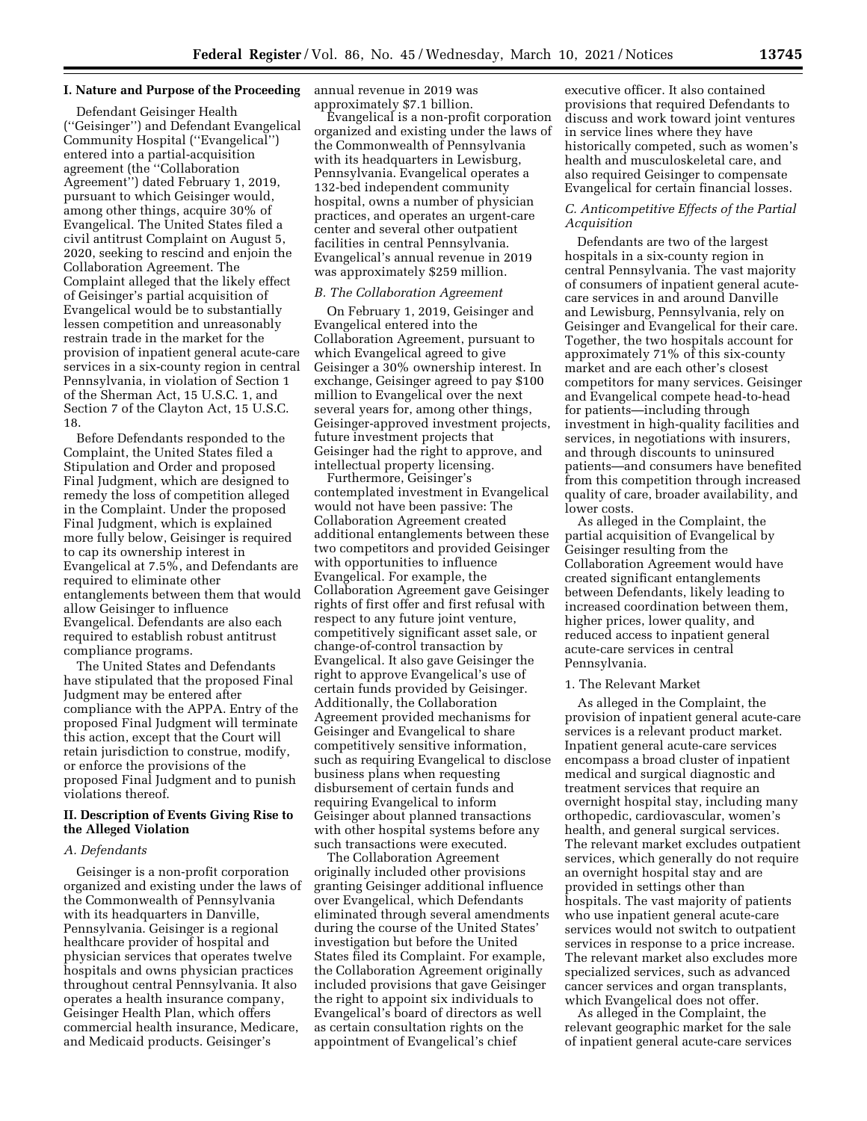# **I. Nature and Purpose of the Proceeding**

Defendant Geisinger Health (''Geisinger'') and Defendant Evangelical Community Hospital (''Evangelical'') entered into a partial-acquisition agreement (the ''Collaboration Agreement'') dated February 1, 2019, pursuant to which Geisinger would, among other things, acquire 30% of Evangelical. The United States filed a civil antitrust Complaint on August 5, 2020, seeking to rescind and enjoin the Collaboration Agreement. The Complaint alleged that the likely effect of Geisinger's partial acquisition of Evangelical would be to substantially lessen competition and unreasonably restrain trade in the market for the provision of inpatient general acute-care services in a six-county region in central Pennsylvania, in violation of Section 1 of the Sherman Act, 15 U.S.C. 1, and Section 7 of the Clayton Act, 15 U.S.C. 18.

Before Defendants responded to the Complaint, the United States filed a Stipulation and Order and proposed Final Judgment, which are designed to remedy the loss of competition alleged in the Complaint. Under the proposed Final Judgment, which is explained more fully below, Geisinger is required to cap its ownership interest in Evangelical at 7.5%, and Defendants are required to eliminate other entanglements between them that would allow Geisinger to influence Evangelical. Defendants are also each required to establish robust antitrust compliance programs.

The United States and Defendants have stipulated that the proposed Final Judgment may be entered after compliance with the APPA. Entry of the proposed Final Judgment will terminate this action, except that the Court will retain jurisdiction to construe, modify, or enforce the provisions of the proposed Final Judgment and to punish violations thereof.

# **II. Description of Events Giving Rise to the Alleged Violation**

#### *A. Defendants*

Geisinger is a non-profit corporation organized and existing under the laws of the Commonwealth of Pennsylvania with its headquarters in Danville, Pennsylvania. Geisinger is a regional healthcare provider of hospital and physician services that operates twelve hospitals and owns physician practices throughout central Pennsylvania. It also operates a health insurance company, Geisinger Health Plan, which offers commercial health insurance, Medicare, and Medicaid products. Geisinger's

annual revenue in 2019 was approximately \$7.1 billion.

Evangelical is a non-profit corporation organized and existing under the laws of the Commonwealth of Pennsylvania with its headquarters in Lewisburg, Pennsylvania. Evangelical operates a 132-bed independent community hospital, owns a number of physician practices, and operates an urgent-care center and several other outpatient facilities in central Pennsylvania. Evangelical's annual revenue in 2019 was approximately \$259 million.

#### *B. The Collaboration Agreement*

On February 1, 2019, Geisinger and Evangelical entered into the Collaboration Agreement, pursuant to which Evangelical agreed to give Geisinger a 30% ownership interest. In exchange, Geisinger agreed to pay \$100 million to Evangelical over the next several years for, among other things, Geisinger-approved investment projects, future investment projects that Geisinger had the right to approve, and intellectual property licensing.

Furthermore, Geisinger's contemplated investment in Evangelical would not have been passive: The Collaboration Agreement created additional entanglements between these two competitors and provided Geisinger with opportunities to influence Evangelical. For example, the Collaboration Agreement gave Geisinger rights of first offer and first refusal with respect to any future joint venture, competitively significant asset sale, or change-of-control transaction by Evangelical. It also gave Geisinger the right to approve Evangelical's use of certain funds provided by Geisinger. Additionally, the Collaboration Agreement provided mechanisms for Geisinger and Evangelical to share competitively sensitive information, such as requiring Evangelical to disclose business plans when requesting disbursement of certain funds and requiring Evangelical to inform Geisinger about planned transactions with other hospital systems before any such transactions were executed.

The Collaboration Agreement originally included other provisions granting Geisinger additional influence over Evangelical, which Defendants eliminated through several amendments during the course of the United States' investigation but before the United States filed its Complaint. For example, the Collaboration Agreement originally included provisions that gave Geisinger the right to appoint six individuals to Evangelical's board of directors as well as certain consultation rights on the appointment of Evangelical's chief

executive officer. It also contained provisions that required Defendants to discuss and work toward joint ventures in service lines where they have historically competed, such as women's health and musculoskeletal care, and also required Geisinger to compensate Evangelical for certain financial losses.

# *C. Anticompetitive Effects of the Partial Acquisition*

Defendants are two of the largest hospitals in a six-county region in central Pennsylvania. The vast majority of consumers of inpatient general acutecare services in and around Danville and Lewisburg, Pennsylvania, rely on Geisinger and Evangelical for their care. Together, the two hospitals account for approximately 71% of this six-county market and are each other's closest competitors for many services. Geisinger and Evangelical compete head-to-head for patients—including through investment in high-quality facilities and services, in negotiations with insurers, and through discounts to uninsured patients—and consumers have benefited from this competition through increased quality of care, broader availability, and lower costs.

As alleged in the Complaint, the partial acquisition of Evangelical by Geisinger resulting from the Collaboration Agreement would have created significant entanglements between Defendants, likely leading to increased coordination between them, higher prices, lower quality, and reduced access to inpatient general acute-care services in central Pennsylvania.

## 1. The Relevant Market

As alleged in the Complaint, the provision of inpatient general acute-care services is a relevant product market. Inpatient general acute-care services encompass a broad cluster of inpatient medical and surgical diagnostic and treatment services that require an overnight hospital stay, including many orthopedic, cardiovascular, women's health, and general surgical services. The relevant market excludes outpatient services, which generally do not require an overnight hospital stay and are provided in settings other than hospitals. The vast majority of patients who use inpatient general acute-care services would not switch to outpatient services in response to a price increase. The relevant market also excludes more specialized services, such as advanced cancer services and organ transplants, which Evangelical does not offer.

As alleged in the Complaint, the relevant geographic market for the sale of inpatient general acute-care services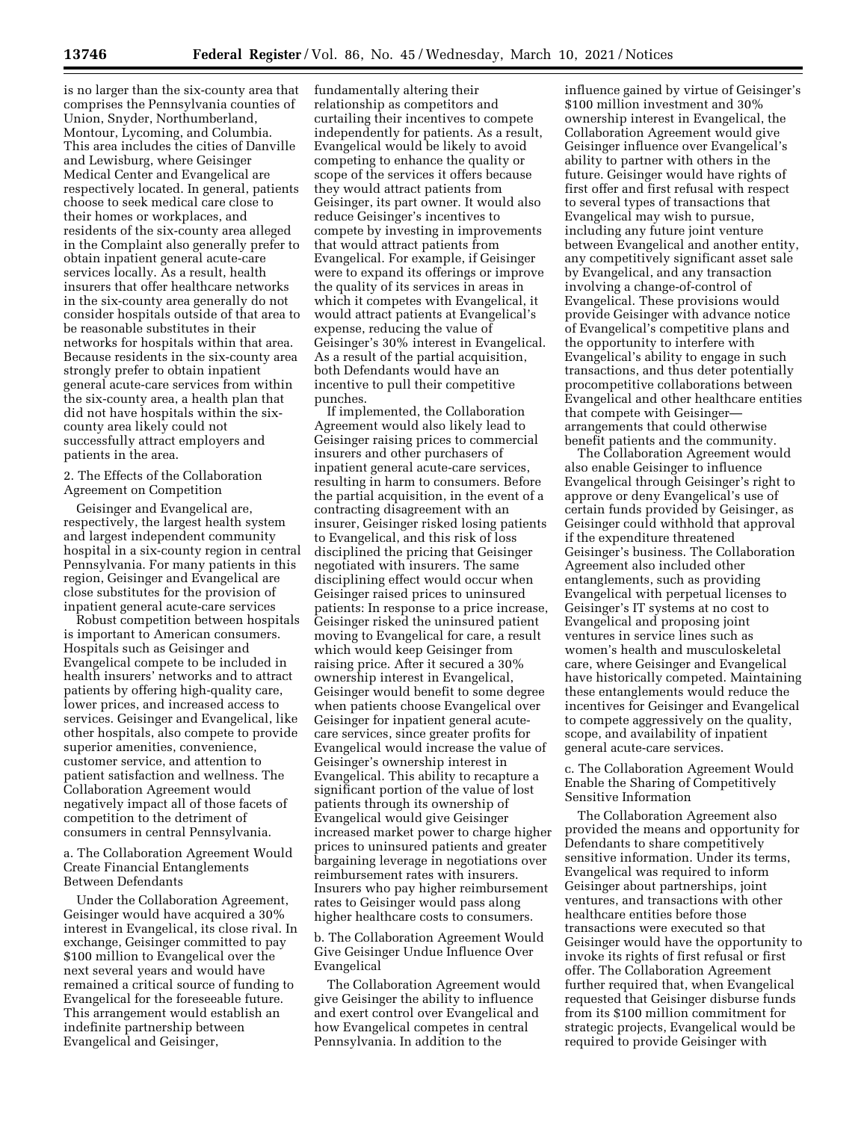is no larger than the six-county area that comprises the Pennsylvania counties of Union, Snyder, Northumberland, Montour, Lycoming, and Columbia. This area includes the cities of Danville and Lewisburg, where Geisinger Medical Center and Evangelical are respectively located. In general, patients choose to seek medical care close to their homes or workplaces, and residents of the six-county area alleged in the Complaint also generally prefer to obtain inpatient general acute-care services locally. As a result, health insurers that offer healthcare networks in the six-county area generally do not consider hospitals outside of that area to be reasonable substitutes in their networks for hospitals within that area. Because residents in the six-county area strongly prefer to obtain inpatient general acute-care services from within the six-county area, a health plan that did not have hospitals within the sixcounty area likely could not successfully attract employers and patients in the area.

2. The Effects of the Collaboration Agreement on Competition

Geisinger and Evangelical are, respectively, the largest health system and largest independent community hospital in a six-county region in central Pennsylvania. For many patients in this region, Geisinger and Evangelical are close substitutes for the provision of inpatient general acute-care services

Robust competition between hospitals is important to American consumers. Hospitals such as Geisinger and Evangelical compete to be included in health insurers' networks and to attract patients by offering high-quality care, lower prices, and increased access to services. Geisinger and Evangelical, like other hospitals, also compete to provide superior amenities, convenience, customer service, and attention to patient satisfaction and wellness. The Collaboration Agreement would negatively impact all of those facets of competition to the detriment of consumers in central Pennsylvania.

a. The Collaboration Agreement Would Create Financial Entanglements Between Defendants

Under the Collaboration Agreement, Geisinger would have acquired a 30% interest in Evangelical, its close rival. In exchange, Geisinger committed to pay \$100 million to Evangelical over the next several years and would have remained a critical source of funding to Evangelical for the foreseeable future. This arrangement would establish an indefinite partnership between Evangelical and Geisinger,

fundamentally altering their relationship as competitors and curtailing their incentives to compete independently for patients. As a result, Evangelical would be likely to avoid competing to enhance the quality or scope of the services it offers because they would attract patients from Geisinger, its part owner. It would also reduce Geisinger's incentives to compete by investing in improvements that would attract patients from Evangelical. For example, if Geisinger were to expand its offerings or improve the quality of its services in areas in which it competes with Evangelical, it would attract patients at Evangelical's expense, reducing the value of Geisinger's 30% interest in Evangelical. As a result of the partial acquisition, both Defendants would have an incentive to pull their competitive punches.

If implemented, the Collaboration Agreement would also likely lead to Geisinger raising prices to commercial insurers and other purchasers of inpatient general acute-care services, resulting in harm to consumers. Before the partial acquisition, in the event of a contracting disagreement with an insurer, Geisinger risked losing patients to Evangelical, and this risk of loss disciplined the pricing that Geisinger negotiated with insurers. The same disciplining effect would occur when Geisinger raised prices to uninsured patients: In response to a price increase, Geisinger risked the uninsured patient moving to Evangelical for care, a result which would keep Geisinger from raising price. After it secured a 30% ownership interest in Evangelical, Geisinger would benefit to some degree when patients choose Evangelical over Geisinger for inpatient general acutecare services, since greater profits for Evangelical would increase the value of Geisinger's ownership interest in Evangelical. This ability to recapture a significant portion of the value of lost patients through its ownership of Evangelical would give Geisinger increased market power to charge higher prices to uninsured patients and greater bargaining leverage in negotiations over reimbursement rates with insurers. Insurers who pay higher reimbursement rates to Geisinger would pass along higher healthcare costs to consumers.

b. The Collaboration Agreement Would Give Geisinger Undue Influence Over Evangelical

The Collaboration Agreement would give Geisinger the ability to influence and exert control over Evangelical and how Evangelical competes in central Pennsylvania. In addition to the

influence gained by virtue of Geisinger's \$100 million investment and 30% ownership interest in Evangelical, the Collaboration Agreement would give Geisinger influence over Evangelical's ability to partner with others in the future. Geisinger would have rights of first offer and first refusal with respect to several types of transactions that Evangelical may wish to pursue, including any future joint venture between Evangelical and another entity, any competitively significant asset sale by Evangelical, and any transaction involving a change-of-control of Evangelical. These provisions would provide Geisinger with advance notice of Evangelical's competitive plans and the opportunity to interfere with Evangelical's ability to engage in such transactions, and thus deter potentially procompetitive collaborations between Evangelical and other healthcare entities that compete with Geisinger arrangements that could otherwise benefit patients and the community.

The Collaboration Agreement would also enable Geisinger to influence Evangelical through Geisinger's right to approve or deny Evangelical's use of certain funds provided by Geisinger, as Geisinger could withhold that approval if the expenditure threatened Geisinger's business. The Collaboration Agreement also included other entanglements, such as providing Evangelical with perpetual licenses to Geisinger's IT systems at no cost to Evangelical and proposing joint ventures in service lines such as women's health and musculoskeletal care, where Geisinger and Evangelical have historically competed. Maintaining these entanglements would reduce the incentives for Geisinger and Evangelical to compete aggressively on the quality, scope, and availability of inpatient general acute-care services.

c. The Collaboration Agreement Would Enable the Sharing of Competitively Sensitive Information

The Collaboration Agreement also provided the means and opportunity for Defendants to share competitively sensitive information. Under its terms, Evangelical was required to inform Geisinger about partnerships, joint ventures, and transactions with other healthcare entities before those transactions were executed so that Geisinger would have the opportunity to invoke its rights of first refusal or first offer. The Collaboration Agreement further required that, when Evangelical requested that Geisinger disburse funds from its \$100 million commitment for strategic projects, Evangelical would be required to provide Geisinger with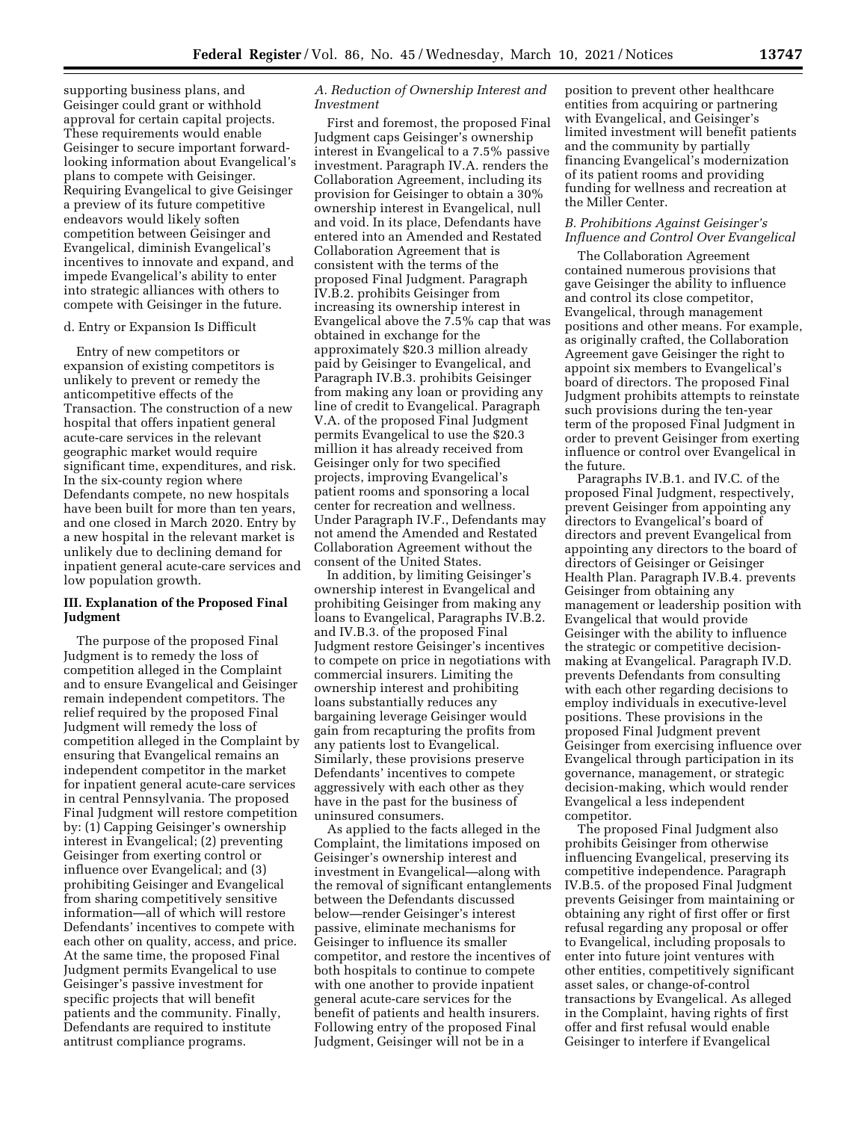supporting business plans, and Geisinger could grant or withhold approval for certain capital projects. These requirements would enable Geisinger to secure important forwardlooking information about Evangelical's plans to compete with Geisinger. Requiring Evangelical to give Geisinger a preview of its future competitive endeavors would likely soften competition between Geisinger and Evangelical, diminish Evangelical's incentives to innovate and expand, and impede Evangelical's ability to enter into strategic alliances with others to compete with Geisinger in the future.

#### d. Entry or Expansion Is Difficult

Entry of new competitors or expansion of existing competitors is unlikely to prevent or remedy the anticompetitive effects of the Transaction. The construction of a new hospital that offers inpatient general acute-care services in the relevant geographic market would require significant time, expenditures, and risk. In the six-county region where Defendants compete, no new hospitals have been built for more than ten years, and one closed in March 2020. Entry by a new hospital in the relevant market is unlikely due to declining demand for inpatient general acute-care services and low population growth.

#### **III. Explanation of the Proposed Final Judgment**

The purpose of the proposed Final Judgment is to remedy the loss of competition alleged in the Complaint and to ensure Evangelical and Geisinger remain independent competitors. The relief required by the proposed Final Judgment will remedy the loss of competition alleged in the Complaint by ensuring that Evangelical remains an independent competitor in the market for inpatient general acute-care services in central Pennsylvania. The proposed Final Judgment will restore competition by: (1) Capping Geisinger's ownership interest in Evangelical; (2) preventing Geisinger from exerting control or influence over Evangelical; and (3) prohibiting Geisinger and Evangelical from sharing competitively sensitive information—all of which will restore Defendants' incentives to compete with each other on quality, access, and price. At the same time, the proposed Final Judgment permits Evangelical to use Geisinger's passive investment for specific projects that will benefit patients and the community. Finally, Defendants are required to institute antitrust compliance programs.

# *A. Reduction of Ownership Interest and Investment*

First and foremost, the proposed Final Judgment caps Geisinger's ownership interest in Evangelical to a 7.5% passive investment. Paragraph IV.A. renders the Collaboration Agreement, including its provision for Geisinger to obtain a 30% ownership interest in Evangelical, null and void. In its place, Defendants have entered into an Amended and Restated Collaboration Agreement that is consistent with the terms of the proposed Final Judgment. Paragraph IV.B.2. prohibits Geisinger from increasing its ownership interest in Evangelical above the 7.5% cap that was obtained in exchange for the approximately \$20.3 million already paid by Geisinger to Evangelical, and Paragraph IV.B.3. prohibits Geisinger from making any loan or providing any line of credit to Evangelical. Paragraph V.A. of the proposed Final Judgment permits Evangelical to use the \$20.3 million it has already received from Geisinger only for two specified projects, improving Evangelical's patient rooms and sponsoring a local center for recreation and wellness. Under Paragraph IV.F., Defendants may not amend the Amended and Restated Collaboration Agreement without the consent of the United States.

In addition, by limiting Geisinger's ownership interest in Evangelical and prohibiting Geisinger from making any loans to Evangelical, Paragraphs IV.B.2. and IV.B.3. of the proposed Final Judgment restore Geisinger's incentives to compete on price in negotiations with commercial insurers. Limiting the ownership interest and prohibiting loans substantially reduces any bargaining leverage Geisinger would gain from recapturing the profits from any patients lost to Evangelical. Similarly, these provisions preserve Defendants' incentives to compete aggressively with each other as they have in the past for the business of uninsured consumers.

As applied to the facts alleged in the Complaint, the limitations imposed on Geisinger's ownership interest and investment in Evangelical—along with the removal of significant entanglements between the Defendants discussed below—render Geisinger's interest passive, eliminate mechanisms for Geisinger to influence its smaller competitor, and restore the incentives of both hospitals to continue to compete with one another to provide inpatient general acute-care services for the benefit of patients and health insurers. Following entry of the proposed Final Judgment, Geisinger will not be in a

position to prevent other healthcare entities from acquiring or partnering with Evangelical, and Geisinger's limited investment will benefit patients and the community by partially financing Evangelical's modernization of its patient rooms and providing funding for wellness and recreation at the Miller Center.

# *B. Prohibitions Against Geisinger's Influence and Control Over Evangelical*

The Collaboration Agreement contained numerous provisions that gave Geisinger the ability to influence and control its close competitor, Evangelical, through management positions and other means. For example, as originally crafted, the Collaboration Agreement gave Geisinger the right to appoint six members to Evangelical's board of directors. The proposed Final Judgment prohibits attempts to reinstate such provisions during the ten-year term of the proposed Final Judgment in order to prevent Geisinger from exerting influence or control over Evangelical in the future.

Paragraphs IV.B.1. and IV.C. of the proposed Final Judgment, respectively, prevent Geisinger from appointing any directors to Evangelical's board of directors and prevent Evangelical from appointing any directors to the board of directors of Geisinger or Geisinger Health Plan. Paragraph IV.B.4. prevents Geisinger from obtaining any management or leadership position with Evangelical that would provide Geisinger with the ability to influence the strategic or competitive decisionmaking at Evangelical. Paragraph IV.D. prevents Defendants from consulting with each other regarding decisions to employ individuals in executive-level positions. These provisions in the proposed Final Judgment prevent Geisinger from exercising influence over Evangelical through participation in its governance, management, or strategic decision-making, which would render Evangelical a less independent competitor.

The proposed Final Judgment also prohibits Geisinger from otherwise influencing Evangelical, preserving its competitive independence. Paragraph IV.B.5. of the proposed Final Judgment prevents Geisinger from maintaining or obtaining any right of first offer or first refusal regarding any proposal or offer to Evangelical, including proposals to enter into future joint ventures with other entities, competitively significant asset sales, or change-of-control transactions by Evangelical. As alleged in the Complaint, having rights of first offer and first refusal would enable Geisinger to interfere if Evangelical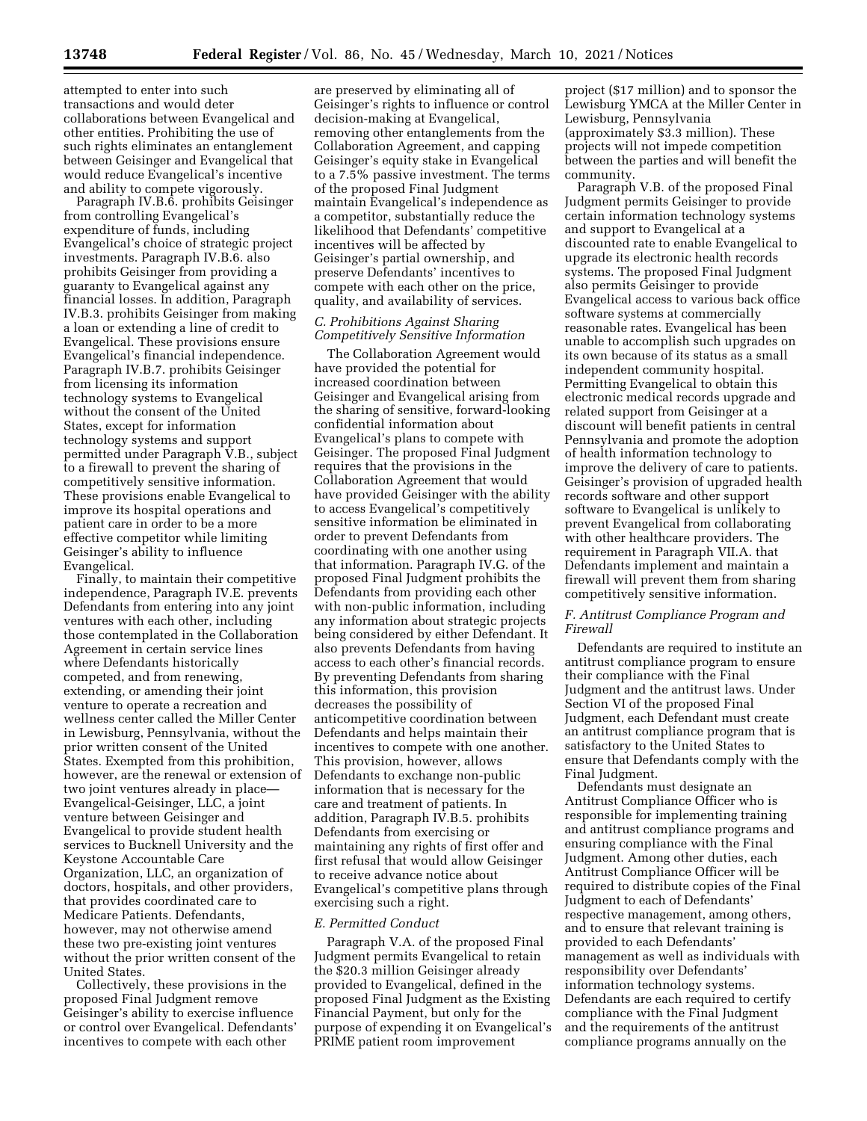attempted to enter into such transactions and would deter collaborations between Evangelical and other entities. Prohibiting the use of such rights eliminates an entanglement between Geisinger and Evangelical that would reduce Evangelical's incentive and ability to compete vigorously.

Paragraph IV.B.6. prohibits Geisinger from controlling Evangelical's expenditure of funds, including Evangelical's choice of strategic project investments. Paragraph IV.B.6. also prohibits Geisinger from providing a guaranty to Evangelical against any financial losses. In addition, Paragraph IV.B.3. prohibits Geisinger from making a loan or extending a line of credit to Evangelical. These provisions ensure Evangelical's financial independence. Paragraph IV.B.7. prohibits Geisinger from licensing its information technology systems to Evangelical without the consent of the United States, except for information technology systems and support permitted under Paragraph V.B., subject to a firewall to prevent the sharing of competitively sensitive information. These provisions enable Evangelical to improve its hospital operations and patient care in order to be a more effective competitor while limiting Geisinger's ability to influence Evangelical.

Finally, to maintain their competitive independence, Paragraph IV.E. prevents Defendants from entering into any joint ventures with each other, including those contemplated in the Collaboration Agreement in certain service lines where Defendants historically competed, and from renewing, extending, or amending their joint venture to operate a recreation and wellness center called the Miller Center in Lewisburg, Pennsylvania, without the prior written consent of the United States. Exempted from this prohibition, however, are the renewal or extension of two joint ventures already in place— Evangelical-Geisinger, LLC, a joint venture between Geisinger and Evangelical to provide student health services to Bucknell University and the Keystone Accountable Care Organization, LLC, an organization of doctors, hospitals, and other providers, that provides coordinated care to Medicare Patients. Defendants, however, may not otherwise amend these two pre-existing joint ventures without the prior written consent of the United States.

Collectively, these provisions in the proposed Final Judgment remove Geisinger's ability to exercise influence or control over Evangelical. Defendants' incentives to compete with each other

are preserved by eliminating all of Geisinger's rights to influence or control decision-making at Evangelical, removing other entanglements from the Collaboration Agreement, and capping Geisinger's equity stake in Evangelical to a 7.5% passive investment. The terms of the proposed Final Judgment maintain Evangelical's independence as a competitor, substantially reduce the likelihood that Defendants' competitive incentives will be affected by Geisinger's partial ownership, and preserve Defendants' incentives to compete with each other on the price, quality, and availability of services.

# *C. Prohibitions Against Sharing Competitively Sensitive Information*

The Collaboration Agreement would have provided the potential for increased coordination between Geisinger and Evangelical arising from the sharing of sensitive, forward-looking confidential information about Evangelical's plans to compete with Geisinger. The proposed Final Judgment requires that the provisions in the Collaboration Agreement that would have provided Geisinger with the ability to access Evangelical's competitively sensitive information be eliminated in order to prevent Defendants from coordinating with one another using that information. Paragraph IV.G. of the proposed Final Judgment prohibits the Defendants from providing each other with non-public information, including any information about strategic projects being considered by either Defendant. It also prevents Defendants from having access to each other's financial records. By preventing Defendants from sharing this information, this provision decreases the possibility of anticompetitive coordination between Defendants and helps maintain their incentives to compete with one another. This provision, however, allows Defendants to exchange non-public information that is necessary for the care and treatment of patients. In addition, Paragraph IV.B.5. prohibits Defendants from exercising or maintaining any rights of first offer and first refusal that would allow Geisinger to receive advance notice about Evangelical's competitive plans through exercising such a right.

#### *E. Permitted Conduct*

Paragraph V.A. of the proposed Final Judgment permits Evangelical to retain the \$20.3 million Geisinger already provided to Evangelical, defined in the proposed Final Judgment as the Existing Financial Payment, but only for the purpose of expending it on Evangelical's PRIME patient room improvement

project (\$17 million) and to sponsor the Lewisburg YMCA at the Miller Center in Lewisburg, Pennsylvania (approximately \$3.3 million). These projects will not impede competition between the parties and will benefit the community.

Paragraph V.B. of the proposed Final Judgment permits Geisinger to provide certain information technology systems and support to Evangelical at a discounted rate to enable Evangelical to upgrade its electronic health records systems. The proposed Final Judgment also permits Geisinger to provide Evangelical access to various back office software systems at commercially reasonable rates. Evangelical has been unable to accomplish such upgrades on its own because of its status as a small independent community hospital. Permitting Evangelical to obtain this electronic medical records upgrade and related support from Geisinger at a discount will benefit patients in central Pennsylvania and promote the adoption of health information technology to improve the delivery of care to patients. Geisinger's provision of upgraded health records software and other support software to Evangelical is unlikely to prevent Evangelical from collaborating with other healthcare providers. The requirement in Paragraph VII.A. that Defendants implement and maintain a firewall will prevent them from sharing competitively sensitive information.

#### *F. Antitrust Compliance Program and Firewall*

Defendants are required to institute an antitrust compliance program to ensure their compliance with the Final Judgment and the antitrust laws. Under Section VI of the proposed Final Judgment, each Defendant must create an antitrust compliance program that is satisfactory to the United States to ensure that Defendants comply with the Final Judgment.

Defendants must designate an Antitrust Compliance Officer who is responsible for implementing training and antitrust compliance programs and ensuring compliance with the Final Judgment. Among other duties, each Antitrust Compliance Officer will be required to distribute copies of the Final Judgment to each of Defendants' respective management, among others, and to ensure that relevant training is provided to each Defendants' management as well as individuals with responsibility over Defendants' information technology systems. Defendants are each required to certify compliance with the Final Judgment and the requirements of the antitrust compliance programs annually on the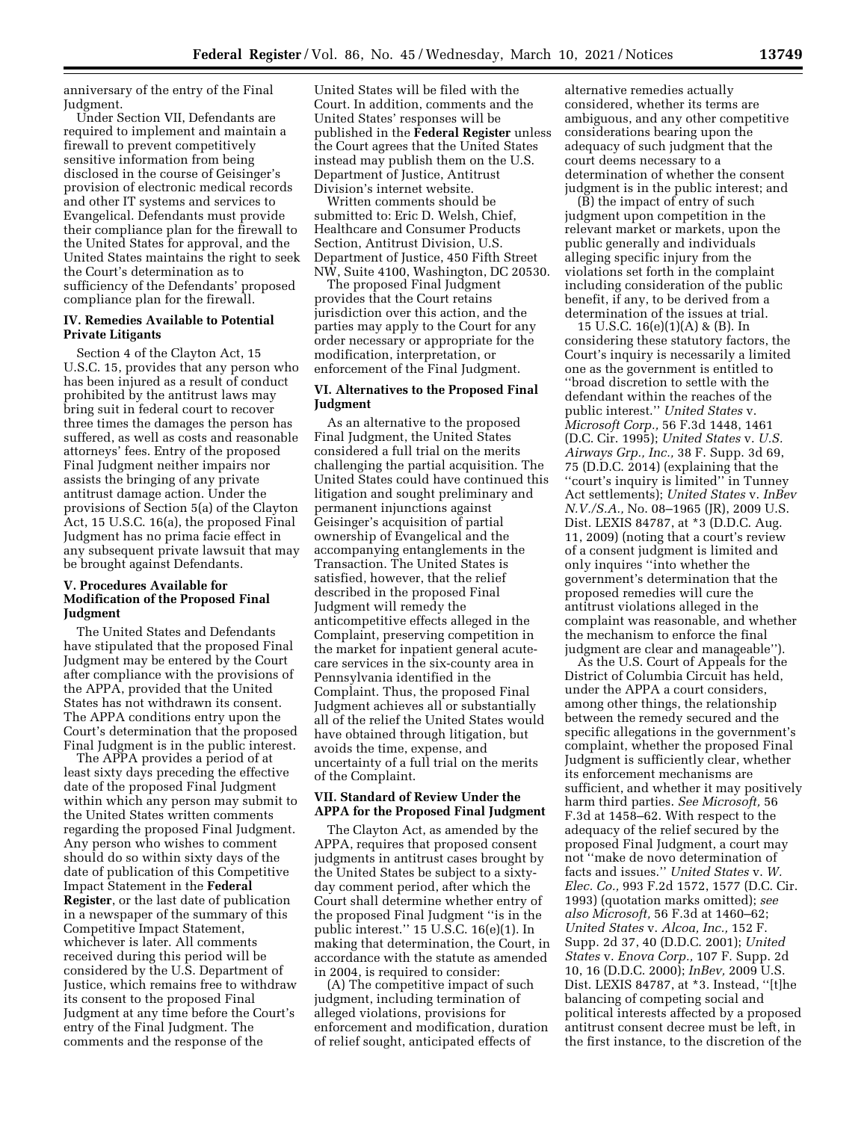anniversary of the entry of the Final Judgment.

Under Section VII, Defendants are required to implement and maintain a firewall to prevent competitively sensitive information from being disclosed in the course of Geisinger's provision of electronic medical records and other IT systems and services to Evangelical. Defendants must provide their compliance plan for the firewall to the United States for approval, and the United States maintains the right to seek the Court's determination as to sufficiency of the Defendants' proposed compliance plan for the firewall.

#### **IV. Remedies Available to Potential Private Litigants**

Section 4 of the Clayton Act, 15 U.S.C. 15, provides that any person who has been injured as a result of conduct prohibited by the antitrust laws may bring suit in federal court to recover three times the damages the person has suffered, as well as costs and reasonable attorneys' fees. Entry of the proposed Final Judgment neither impairs nor assists the bringing of any private antitrust damage action. Under the provisions of Section 5(a) of the Clayton Act, 15 U.S.C. 16(a), the proposed Final Judgment has no prima facie effect in any subsequent private lawsuit that may be brought against Defendants.

# **V. Procedures Available for Modification of the Proposed Final Judgment**

The United States and Defendants have stipulated that the proposed Final Judgment may be entered by the Court after compliance with the provisions of the APPA, provided that the United States has not withdrawn its consent. The APPA conditions entry upon the Court's determination that the proposed Final Judgment is in the public interest.

The APPA provides a period of at least sixty days preceding the effective date of the proposed Final Judgment within which any person may submit to the United States written comments regarding the proposed Final Judgment. Any person who wishes to comment should do so within sixty days of the date of publication of this Competitive Impact Statement in the **Federal Register**, or the last date of publication in a newspaper of the summary of this Competitive Impact Statement, whichever is later. All comments received during this period will be considered by the U.S. Department of Justice, which remains free to withdraw its consent to the proposed Final Judgment at any time before the Court's entry of the Final Judgment. The comments and the response of the

United States will be filed with the Court. In addition, comments and the United States' responses will be published in the **Federal Register** unless the Court agrees that the United States instead may publish them on the U.S. Department of Justice, Antitrust Division's internet website.

Written comments should be submitted to: Eric D. Welsh, Chief, Healthcare and Consumer Products Section, Antitrust Division, U.S. Department of Justice, 450 Fifth Street NW, Suite 4100, Washington, DC 20530.

The proposed Final Judgment provides that the Court retains jurisdiction over this action, and the parties may apply to the Court for any order necessary or appropriate for the modification, interpretation, or enforcement of the Final Judgment.

# **VI. Alternatives to the Proposed Final Judgment**

As an alternative to the proposed Final Judgment, the United States considered a full trial on the merits challenging the partial acquisition. The United States could have continued this litigation and sought preliminary and permanent injunctions against Geisinger's acquisition of partial ownership of Evangelical and the accompanying entanglements in the Transaction. The United States is satisfied, however, that the relief described in the proposed Final Judgment will remedy the anticompetitive effects alleged in the Complaint, preserving competition in the market for inpatient general acutecare services in the six-county area in Pennsylvania identified in the Complaint. Thus, the proposed Final Judgment achieves all or substantially all of the relief the United States would have obtained through litigation, but avoids the time, expense, and uncertainty of a full trial on the merits of the Complaint.

## **VII. Standard of Review Under the APPA for the Proposed Final Judgment**

The Clayton Act, as amended by the APPA, requires that proposed consent judgments in antitrust cases brought by the United States be subject to a sixtyday comment period, after which the Court shall determine whether entry of the proposed Final Judgment ''is in the public interest.'' 15 U.S.C. 16(e)(1). In making that determination, the Court, in accordance with the statute as amended in 2004, is required to consider:

(A) The competitive impact of such judgment, including termination of alleged violations, provisions for enforcement and modification, duration of relief sought, anticipated effects of

alternative remedies actually considered, whether its terms are ambiguous, and any other competitive considerations bearing upon the adequacy of such judgment that the court deems necessary to a determination of whether the consent judgment is in the public interest; and

(B) the impact of entry of such judgment upon competition in the relevant market or markets, upon the public generally and individuals alleging specific injury from the violations set forth in the complaint including consideration of the public benefit, if any, to be derived from a determination of the issues at trial.

15 U.S.C. 16(e)(1)(A) & (B). In considering these statutory factors, the Court's inquiry is necessarily a limited one as the government is entitled to ''broad discretion to settle with the defendant within the reaches of the public interest.'' *United States* v. *Microsoft Corp.,* 56 F.3d 1448, 1461 (D.C. Cir. 1995); *United States* v. *U.S. Airways Grp., Inc.,* 38 F. Supp. 3d 69, 75 (D.D.C. 2014) (explaining that the ''court's inquiry is limited'' in Tunney Act settlements); *United States* v. *InBev N.V./S.A.,* No. 08–1965 (JR), 2009 U.S. Dist. LEXIS 84787, at \*3 (D.D.C. Aug. 11, 2009) (noting that a court's review of a consent judgment is limited and only inquires ''into whether the government's determination that the proposed remedies will cure the antitrust violations alleged in the complaint was reasonable, and whether the mechanism to enforce the final judgment are clear and manageable'').

As the U.S. Court of Appeals for the District of Columbia Circuit has held, under the APPA a court considers, among other things, the relationship between the remedy secured and the specific allegations in the government's complaint, whether the proposed Final Judgment is sufficiently clear, whether its enforcement mechanisms are sufficient, and whether it may positively harm third parties. *See Microsoft,* 56 F.3d at 1458–62. With respect to the adequacy of the relief secured by the proposed Final Judgment, a court may not ''make de novo determination of facts and issues.'' *United States* v. *W. Elec. Co.,* 993 F.2d 1572, 1577 (D.C. Cir. 1993) (quotation marks omitted); *see also Microsoft,* 56 F.3d at 1460–62; *United States* v. *Alcoa, Inc.,* 152 F. Supp. 2d 37, 40 (D.D.C. 2001); *United States* v. *Enova Corp.,* 107 F. Supp. 2d 10, 16 (D.D.C. 2000); *InBev,* 2009 U.S. Dist. LEXIS 84787, at \*3. Instead, ''[t]he balancing of competing social and political interests affected by a proposed antitrust consent decree must be left, in the first instance, to the discretion of the